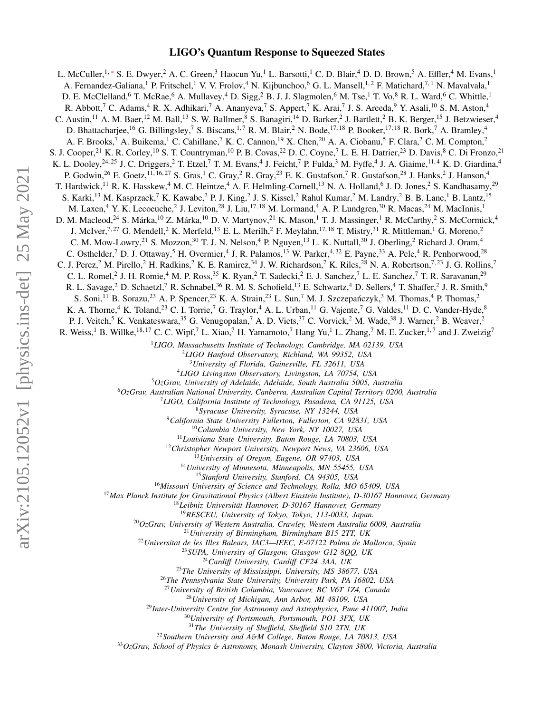# LIGO's Quantum Response to Squeezed States

L. McCuller,<sup>1,\*</sup> S. E. Dwyer,<sup>2</sup> A. C. Green,<sup>3</sup> Haocun Yu,<sup>1</sup> L. Barsotti,<sup>1</sup> C. D. Blair,<sup>4</sup> D. D. Brown,<sup>5</sup> A. Effler,<sup>4</sup> M. Evans,<sup>1</sup> A. Fernandez-Galiana,<sup>1</sup> P. Fritschel,<sup>1</sup> V. V. Frolov,<sup>4</sup> N. Kijbunchoo,<sup>6</sup> G. L. Mansell,<sup>1,2</sup> F. Matichard,<sup>7,1</sup> N. Mavalvala,<sup>1</sup> D. E. McClelland,<sup>6</sup> T. McRae,<sup>6</sup> A. Mullavey,<sup>4</sup> D. Sigg,<sup>2</sup> B. J. J. Slagmolen,<sup>6</sup> M. Tse,<sup>1</sup> T. Vo,<sup>8</sup> R. L. Ward,<sup>6</sup> C. Whittle,<sup>1</sup> R. Abbott,<sup>7</sup> C. Adams,<sup>4</sup> R. X. Adhikari,<sup>7</sup> A. Ananyeva,<sup>7</sup> S. Appert,<sup>7</sup> K. Arai,<sup>7</sup> J. S. Areeda,<sup>9</sup> Y. Asali,<sup>10</sup> S. M. Aston,<sup>4</sup> C. Austin, <sup>11</sup> A. M. Baer, <sup>12</sup> M. Ball, <sup>13</sup> S. W. Ballmer, <sup>8</sup> S. Banagiri, <sup>14</sup> D. Barker, <sup>2</sup> J. Bartlett, <sup>2</sup> B. K. Berger, <sup>15</sup> J. Betzwieser, <sup>4</sup> D. Bhattacharjee,<sup>16</sup> G. Billingsley,<sup>7</sup> S. Biscans,<sup>1,7</sup> R. M. Blair,<sup>2</sup> N. Bode,<sup>17, 18</sup> P. Booker,<sup>17, 18</sup> R. Bork,<sup>7</sup> A. Bramley,<sup>4</sup> A. F. Brooks,<sup>7</sup> A. Buikema,<sup>1</sup> C. Cahillane,<sup>7</sup> K. C. Cannon,<sup>19</sup> X. Chen,<sup>20</sup> A. A. Ciobanu,<sup>5</sup> F. Clara,<sup>2</sup> C. M. Compton,<sup>2</sup> S. J. Cooper,<sup>21</sup> K. R. Corley,<sup>10</sup> S. T. Countryman,<sup>10</sup> P. B. Covas,<sup>22</sup> D. C. Coyne,<sup>7</sup> L. E. H. Datrier,<sup>23</sup> D. Davis,<sup>8</sup> C. Di Fronzo,<sup>21</sup> K. L. Dooley,<sup>24,25</sup> J. C. Driggers,<sup>2</sup> T. Etzel,<sup>7</sup> T. M. Evans,<sup>4</sup> J. Feicht,<sup>7</sup> P. Fulda,<sup>3</sup> M. Fyffe,<sup>4</sup> J. A. Giaime,<sup>11,4</sup> K. D. Giardina,<sup>4</sup> P. Godwin,<sup>26</sup> E. Goetz,<sup>11, 16, 27</sup> S. Gras,<sup>1</sup> C. Gray,<sup>2</sup> R. Gray,<sup>23</sup> E. K. Gustafson,<sup>7</sup> R. Gustafson,<sup>28</sup> J. Hanks,<sup>2</sup> J. Hanson,<sup>4</sup> T. Hardwick, <sup>11</sup> R. K. Hasskew, <sup>4</sup> M. C. Heintze, <sup>4</sup> A. F. Helmling-Cornell, <sup>13</sup> N. A. Holland, <sup>6</sup> J. D. Jones, <sup>2</sup> S. Kandhasamy, <sup>29</sup> S. Karki,<sup>13</sup> M. Kasprzack,<sup>7</sup> K. Kawabe,<sup>2</sup> P. J. King,<sup>2</sup> J. S. Kissel,<sup>2</sup> Rahul Kumar,<sup>2</sup> M. Landry,<sup>2</sup> B. B. Lane,<sup>1</sup> B. Lantz,<sup>15</sup> M. Laxen,<sup>4</sup> Y. K. Lecoeuche,<sup>2</sup> J. Leviton,<sup>28</sup> J. Liu,<sup>17,18</sup> M. Lormand,<sup>4</sup> A. P. Lundgren,<sup>30</sup> R. Macas,<sup>24</sup> M. MacInnis,<sup>1</sup> D. M. Macleod,<sup>24</sup> S. Márka,<sup>10</sup> Z. Márka,<sup>10</sup> D. V. Martynov,<sup>21</sup> K. Mason,<sup>1</sup> T. J. Massinger,<sup>1</sup> R. McCarthy,<sup>2</sup> S. McCormick,<sup>4</sup> J. McIver,<sup>7, 27</sup> G. Mendell,<sup>2</sup> K. Merfeld,<sup>13</sup> E. L. Merilh,<sup>2</sup> F. Meylahn,<sup>17, 18</sup> T. Mistry,<sup>31</sup> R. Mittleman,<sup>1</sup> G. Moreno,<sup>2</sup> C. M. Mow-Lowry,<sup>21</sup> S. Mozzon,<sup>30</sup> T. J. N. Nelson,<sup>4</sup> P. Nguyen,<sup>13</sup> L. K. Nuttall,<sup>30</sup> J. Oberling,<sup>2</sup> Richard J. Oram,<sup>4</sup> C. Osthelder,<sup>7</sup> D. J. Ottaway,<sup>5</sup> H. Overmier,<sup>4</sup> J. R. Palamos,<sup>13</sup> W. Parker,<sup>4,32</sup> E. Payne,<sup>33</sup> A. Pele,<sup>4</sup> R. Penhorwood,<sup>28</sup> C. J. Perez,<sup>2</sup> M. Pirello,<sup>2</sup> H. Radkins,<sup>2</sup> K. E. Ramirez,<sup>34</sup> J. W. Richardson,<sup>7</sup> K. Riles,<sup>28</sup> N. A. Robertson,<sup>7,23</sup> J. G. Rollins,<sup>7</sup> C. L. Romel,<sup>2</sup> J. H. Romie,<sup>4</sup> M. P. Ross,<sup>35</sup> K. Ryan,<sup>2</sup> T. Sadecki,<sup>2</sup> E. J. Sanchez,<sup>7</sup> L. E. Sanchez,<sup>7</sup> T. R. Saravanan,<sup>29</sup> R. L. Savage,<sup>2</sup> D. Schaetzl,<sup>7</sup> R. Schnabel,<sup>36</sup> R. M. S. Schofield,<sup>13</sup> E. Schwartz,<sup>4</sup> D. Sellers,<sup>4</sup> T. Shaffer,<sup>2</sup> J. R. Smith,<sup>9</sup> S. Soni,<sup>11</sup> B. Sorazu,<sup>23</sup> A. P. Spencer,<sup>23</sup> K. A. Strain,<sup>23</sup> L. Sun,<sup>7</sup> M. J. Szczepańczyk,<sup>3</sup> M. Thomas,<sup>4</sup> P. Thomas,<sup>2</sup> K. A. Thorne,<sup>4</sup> K. Toland,<sup>23</sup> C. I. Torrie,<sup>7</sup> G. Traylor,<sup>4</sup> A. L. Urban,<sup>11</sup> G. Vajente,<sup>7</sup> G. Valdes,<sup>11</sup> D. C. Vander-Hyde,<sup>8</sup> P. J. Veitch,<sup>5</sup> K. Venkateswara,<sup>35</sup> G. Venugopalan,<sup>7</sup> A. D. Viets,<sup>37</sup> C. Vorvick,<sup>2</sup> M. Wade,<sup>38</sup> J. Warner,<sup>2</sup> B. Weaver,<sup>2</sup> R. Weiss,<sup>1</sup> B. Willke,<sup>18, 17</sup> C. C. Wipf,<sup>7</sup> L. Xiao,<sup>7</sup> H. Yamamoto,<sup>7</sup> Hang Yu,<sup>1</sup> L. Zhang,<sup>7</sup> M. E. Zucker,<sup>1,7</sup> and J. Zweizig<sup>7</sup> <sup>1</sup>*LIGO, Massachusetts Institute of Technology, Cambridge, MA 02139, USA* <sup>2</sup>*LIGO Hanford Observatory, Richland, WA 99352, USA* <sup>3</sup>*University of Florida, Gainesville, FL 32611, USA* <sup>4</sup>*LIGO Livingston Observatory, Livingston, LA 70754, USA* <sup>5</sup>*OzGrav, University of Adelaide, Adelaide, South Australia 5005, Australia* <sup>6</sup>*OzGrav, Australian National University, Canberra, Australian Capital Territory 0200, Australia* <sup>7</sup>*LIGO, California Institute of Technology, Pasadena, CA 91125, USA* <sup>8</sup>*Syracuse University, Syracuse, NY 13244, USA* <sup>9</sup>*California State University Fullerton, Fullerton, CA 92831, USA* <sup>10</sup>*Columbia University, New York, NY 10027, USA* <sup>11</sup>*Louisiana State University, Baton Rouge, LA 70803, USA* <sup>12</sup>*Christopher Newport University, Newport News, VA 23606, USA* <sup>13</sup>*University of Oregon, Eugene, OR 97403, USA* <sup>14</sup>*University of Minnesota, Minneapolis, MN 55455, USA* <sup>15</sup>*Stanford University, Stanford, CA 94305, USA* <sup>16</sup>*Missouri University of Science and Technology, Rolla, MO 65409, USA* <sup>17</sup>*Max Planck Institute for Gravitational Physics (Albert Einstein Institute), D-30167 Hannover, Germany* <sup>18</sup>Leibniz Universität Hannover, D-30167 Hannover, Germany <sup>19</sup>*RESCEU, University of Tokyo, Tokyo, 113-0033, Japan.* <sup>20</sup>*OzGrav, University of Western Australia, Crawley, Western Australia 6009, Australia* <sup>21</sup>*University of Birmingham, Birmingham B15 2TT, UK* <sup>22</sup>*Universitat de les Illes Balears, IAC3—IEEC, E-07122 Palma de Mallorca, Spain* <sup>23</sup>*SUPA, University of Glasgow, Glasgow G12 8QQ, UK* <sup>24</sup>*Cardi*ff *University, Cardi*ff *CF24 3AA, UK* <sup>25</sup>*The University of Mississippi, University, MS 38677, USA* <sup>26</sup>*The Pennsylvania State University, University Park, PA 16802, USA* <sup>27</sup>*University of British Columbia, Vancouver, BC V6T 1Z4, Canada* <sup>28</sup>*University of Michigan, Ann Arbor, MI 48109, USA* <sup>29</sup>*Inter-University Centre for Astronomy and Astrophysics, Pune 411007, India* <sup>30</sup>*University of Portsmouth, Portsmouth, PO1 3FX, UK*

<sup>31</sup>*The University of She*ffi*eld, She*ffi*eld S10 2TN, UK*

<sup>32</sup>*Southern University and A*&*M College, Baton Rouge, LA 70813, USA*

<sup>33</sup>*OzGrav, School of Physics* & *Astronomy, Monash University, Clayton 3800, Victoria, Australia*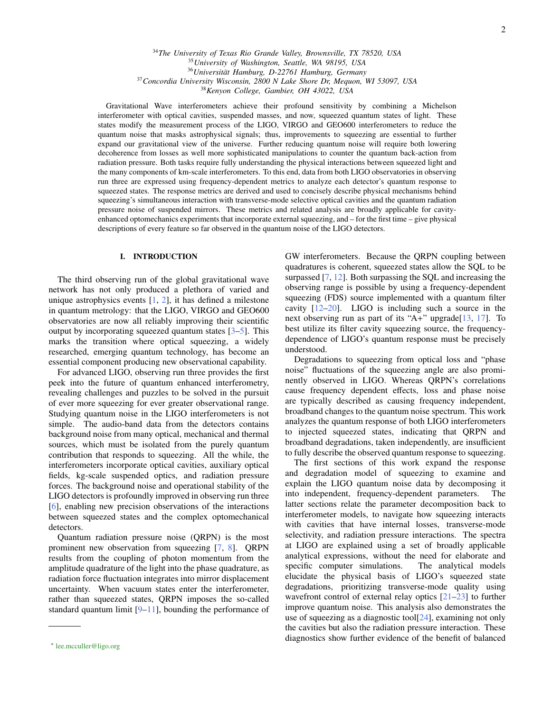*The University of Texas Rio Grande Valley, Brownsville, TX 78520, USA University of Washington, Seattle, WA 98195, USA* <sup>36</sup> Universität Hamburg, D-22761 Hamburg, Germany *Concordia University Wisconsin, 2800 N Lake Shore Dr, Mequon, WI 53097, USA*

<sup>38</sup>*Kenyon College, Gambier, OH 43022, USA*

Gravitational Wave interferometers achieve their profound sensitivity by combining a Michelson interferometer with optical cavities, suspended masses, and now, squeezed quantum states of light. These states modify the measurement process of the LIGO, VIRGO and GEO600 interferometers to reduce the quantum noise that masks astrophysical signals; thus, improvements to squeezing are essential to further expand our gravitational view of the universe. Further reducing quantum noise will require both lowering decoherence from losses as well more sophisticated manipulations to counter the quantum back-action from radiation pressure. Both tasks require fully understanding the physical interactions between squeezed light and the many components of km-scale interferometers. To this end, data from both LIGO observatories in observing run three are expressed using frequency-dependent metrics to analyze each detector's quantum response to squeezed states. The response metrics are derived and used to concisely describe physical mechanisms behind squeezing's simultaneous interaction with transverse-mode selective optical cavities and the quantum radiation pressure noise of suspended mirrors. These metrics and related analysis are broadly applicable for cavityenhanced optomechanics experiments that incorporate external squeezing, and – for the first time – give physical descriptions of every feature so far observed in the quantum noise of the LIGO detectors.

### I. INTRODUCTION

The third observing run of the global gravitational wave network has not only produced a plethora of varied and unique astrophysics events  $[1, 2]$  $[1, 2]$  $[1, 2]$ , it has defined a milestone in quantum metrology: that the LIGO, VIRGO and GEO600 observatories are now all reliably improving their scientific output by incorporating squeezed quantum states [\[3–](#page-17-2)[5\]](#page-17-3). This marks the transition where optical squeezing, a widely researched, emerging quantum technology, has become an essential component producing new observational capability.

For advanced LIGO, observing run three provides the first peek into the future of quantum enhanced interferometry, revealing challenges and puzzles to be solved in the pursuit of ever more squeezing for ever greater observational range. Studying quantum noise in the LIGO interferometers is not simple. The audio-band data from the detectors contains background noise from many optical, mechanical and thermal sources, which must be isolated from the purely quantum contribution that responds to squeezing. All the while, the interferometers incorporate optical cavities, auxiliary optical fields, kg-scale suspended optics, and radiation pressure forces. The background noise and operational stability of the LIGO detectors is profoundly improved in observing run three [\[6\]](#page-17-4), enabling new precision observations of the interactions between squeezed states and the complex optomechanical detectors.

Quantum radiation pressure noise (QRPN) is the most prominent new observation from squeezing [\[7,](#page-17-5) [8\]](#page-17-6). QRPN results from the coupling of photon momentum from the amplitude quadrature of the light into the phase quadrature, as radiation force fluctuation integrates into mirror displacement uncertainty. When vacuum states enter the interferometer, rather than squeezed states, QRPN imposes the so-called standard quantum limit  $[9-11]$  $[9-11]$ , bounding the performance of

GW interferometers. Because the QRPN coupling between quadratures is coherent, squeezed states allow the SQL to be surpassed [\[7,](#page-17-5) [12\]](#page-17-9). Both surpassing the SQL and increasing the observing range is possible by using a frequency-dependent squeezing (FDS) source implemented with a quantum filter cavity [\[12](#page-17-9)[–20\]](#page-18-0). LIGO is including such a source in the next observing run as part of its " $A$ +" upgrade[\[13,](#page-17-10) [17\]](#page-17-11). To best utilize its filter cavity squeezing source, the frequencydependence of LIGO's quantum response must be precisely understood.

Degradations to squeezing from optical loss and "phase noise" fluctuations of the squeezing angle are also prominently observed in LIGO. Whereas QRPN's correlations cause frequency dependent effects, loss and phase noise are typically described as causing frequency independent, broadband changes to the quantum noise spectrum. This work analyzes the quantum response of both LIGO interferometers to injected squeezed states, indicating that QRPN and broadband degradations, taken independently, are insufficient to fully describe the observed quantum response to squeezing.

The first sections of this work expand the response and degradation model of squeezing to examine and explain the LIGO quantum noise data by decomposing it into independent, frequency-dependent parameters. The latter sections relate the parameter decomposition back to interferometer models, to navigate how squeezing interacts with cavities that have internal losses, transverse-mode selectivity, and radiation pressure interactions. The spectra at LIGO are explained using a set of broadly applicable analytical expressions, without the need for elaborate and specific computer simulations. The analytical models elucidate the physical basis of LIGO's squeezed state degradations, prioritizing transverse-mode quality using wavefront control of external relay optics  $[21-23]$  $[21-23]$  to further improve quantum noise. This analysis also demonstrates the use of squeezing as a diagnostic tool[\[24\]](#page-18-3), examining not only the cavities but also the radiation pressure interaction. These diagnostics show further evidence of the benefit of balanced

<span id="page-1-0"></span><sup>∗</sup> [lee.mcculler@ligo.org](mailto:lee.mcculler@ligo.org)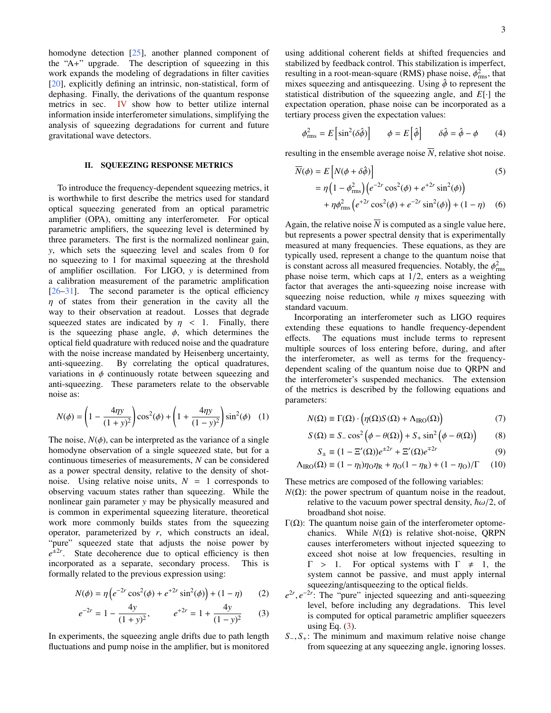homodyne detection [\[25\]](#page-18-4), another planned component of the "A+" upgrade. The description of squeezing in this work expands the modeling of degradations in filter cavities [\[20\]](#page-18-0), explicitly defining an intrinsic, non-statistical, form of dephasing. Finally, the derivations of the quantum response metrics in sec. [IV](#page-8-0) show how to better utilize internal information inside interferometer simulations, simplifying the analysis of squeezing degradations for current and future gravitational wave detectors.

#### <span id="page-2-4"></span>II. SQUEEZING RESPONSE METRICS

To introduce the frequency-dependent squeezing metrics, it is worthwhile to first describe the metrics used for standard optical squeezing generated from an optical parametric amplifier (OPA), omitting any interferometer. For optical parametric amplifiers, the squeezing level is determined by three parameters. The first is the normalized nonlinear gain, *y*, which sets the squeezing level and scales from 0 for no squeezing to 1 for maximal squeezing at the threshold of amplifier oscillation. For LIGO, *y* is determined from a calibration measurement of the parametric amplification [\[26](#page-18-5)[–31\]](#page-18-6). The second parameter is the optical efficiency  $\eta$  of states from their generation in the cavity all the way to their observation at readout. Losses that degrade squeezed states are indicated by  $\eta$  < 1. Finally, there is the squeezing phase angle,  $\phi$ , which determines the optical field quadrature with reduced noise and the quadrature with the noise increase mandated by Heisenberg uncertainty, anti-squeezing. By correlating the optical quadratures, variations in  $\phi$  continuously rotate between squeezing and anti-squeezing. These parameters relate to the observable noise as:

$$
N(\phi) = \left(1 - \frac{4\eta y}{(1+y)^2}\right)\cos^2(\phi) + \left(1 + \frac{4\eta y}{(1-y)^2}\right)\sin^2(\phi) \quad (1)
$$

The noise,  $N(\phi)$ , can be interpreted as the variance of a single homodyne observation of a single squeezed state, but for a continuous timeseries of measurements, *N* can be considered as a power spectral density, relative to the density of shotnoise. Using relative noise units,  $N = 1$  corresponds to observing vacuum states rather than squeezing. While the nonlinear gain parameter *y* may be physically measured and is common in experimental squeezing literature, theoretical work more commonly builds states from the squeezing operator, parameterized by *r*, which constructs an ideal, "pure" squeezed state that adjusts the noise power by  $e^{\pm 2r}$ . State decoherence due to optical efficiency is then incorporated as a separate, secondary process. This is formally related to the previous expression using:

$$
N(\phi) = \eta \left( e^{-2r} \cos^2(\phi) + e^{+2r} \sin^2(\phi) \right) + (1 - \eta) \tag{2}
$$

$$
e^{-2r} = 1 - \frac{4y}{(1+y)^2}, \qquad e^{+2r} = 1 + \frac{4y}{(1-y)^2} \qquad (3)
$$

In experiments, the squeezing angle drifts due to path length fluctuations and pump noise in the amplifier, but is monitored using additional coherent fields at shifted frequencies and stabilized by feedback control. This stabilization is imperfect, resulting in a root-mean-square (RMS) phase noise,  $\phi_{\text{rms}}^2$ , that mixes squeezing and antisqueezing. Using  $\hat{\phi}$  to represent the mixes squeezing and antisqueezing. Using  $\hat{\phi}$  to represent the statistical distribution of the squeezing angle, and *E*[·] the expectation operation, phase noise can be incorporated as a tertiary process given the expectation values:

$$
\phi_{\rm rms}^2 = E \left[ \sin^2(\delta \hat{\phi}) \right] \qquad \phi = E \left[ \hat{\phi} \right] \qquad \delta \hat{\phi} = \hat{\phi} - \phi \tag{4}
$$

resulting in the ensemble average noise  $\overline{N}$ , relative shot noise.

$$
\overline{N}(\phi) = E\left[N(\phi + \delta\hat{\phi})\right]
$$
\n
$$
= \eta \left(1 - \phi_{\text{rms}}^2\right) \left(e^{-2r}\cos^2(\phi) + e^{+2r}\sin^2(\phi)\right)
$$
\n
$$
\left(1 - \phi_{\text{rms}}^2\right) \left(e^{-2r}\cos^2(\phi) + e^{+2r}\sin^2(\phi)\right)
$$
\n
$$
\left(1 - \phi_{\text{rms}}^2\right) \left(e^{-2r}\cos^2(\phi) + e^{+2r}\sin^2(\phi)\right)
$$
\n
$$
\left(1 - \phi_{\text{rms}}^2\right) \left(e^{-2r}\cos^2(\phi) + e^{+2r}\sin^2(\phi)\right)
$$
\n
$$
\left(1 - \phi_{\text{rms}}^2\right) \left(e^{-2r}\cos^2(\phi) + e^{+2r}\sin^2(\phi)\right)
$$

<span id="page-2-6"></span>+  $\eta \phi_{\text{rms}}^2 \left( e^{+2r} \cos^2(\phi) + e^{-2r} \sin^2(\phi) \right) + (1 - \eta)$  (6)

Again, the relative noise  $\overline{N}$  is computed as a single value here, but represents a power spectral density that is experimentally measured at many frequencies. These equations, as they are typically used, represent a change to the quantum noise that is constant across all measured frequencies. Notably, the  $\phi_{\text{rms}}^2$ <br>phase noise term, which cans at 1/2 enters as a weighting phase noise term, which caps at 1/2, enters as a weighting factor that averages the anti-squeezing noise increase with squeezing noise reduction, while  $\eta$  mixes squeezing with standard vacuum.

Incorporating an interferometer such as LIGO requires extending these equations to handle frequency-dependent effects. The equations must include terms to represent multiple sources of loss entering before, during, and after the interferometer, as well as terms for the frequencydependent scaling of the quantum noise due to QRPN and the interferometer's suspended mechanics. The extension of the metrics is described by the following equations and parameters:

$$
N(\Omega) \equiv \Gamma(\Omega) \cdot \left( \eta(\Omega) S(\Omega) + \Lambda_{\text{IRO}}(\Omega) \right) \tag{7}
$$

$$
S(\Omega) \equiv S_{-} \cos^{2} (\phi - \theta(\Omega)) + S_{+} \sin^{2} (\phi - \theta(\Omega))
$$
 (8)

<span id="page-2-5"></span><span id="page-2-2"></span><span id="page-2-1"></span>
$$
S_{\pm} \equiv (1 - \Xi'(\Omega))e^{\pm 2r} + \Xi'(\Omega)e^{\mp 2r}
$$
 (9)

$$
\Lambda_{\rm IRO}(\Omega) \equiv (1 - \eta_1)\eta_0 \eta_{\rm R} + \eta_0 (1 - \eta_{\rm R}) + (1 - \eta_0)/\Gamma \qquad (10)
$$

These metrics are composed of the following variables:

- $N(\Omega)$ : the power spectrum of quantum noise in the readout, relative to the vacuum power spectral density,  $\hbar \omega/2$ , of broadband shot noise.
- Γ(Ω): The quantum noise gain of the interferometer optomechanics. While  $N(\Omega)$  is relative shot-noise, QRPN causes interferometers without injected squeezing to exceed shot noise at low frequencies, resulting in  $\Gamma$  > 1. For optical systems with  $\Gamma \neq 1$ , the system cannot be passive, and must apply internal squeezing/antisqueezing to the optical fields.
- <span id="page-2-3"></span><span id="page-2-0"></span> $e^{2r}$ ,  $e^{-2r}$ . The "pure" injected squeezing and anti-squeezing<br>level before including any degradations. This level level, before including any degradations. This level is computed for optical parametric amplifier squeezers using Eq.  $(3)$ .
- *S*−, *S*<sub>+</sub>: The minimum and maximum relative noise change from squeezing at any squeezing angle, ignoring losses.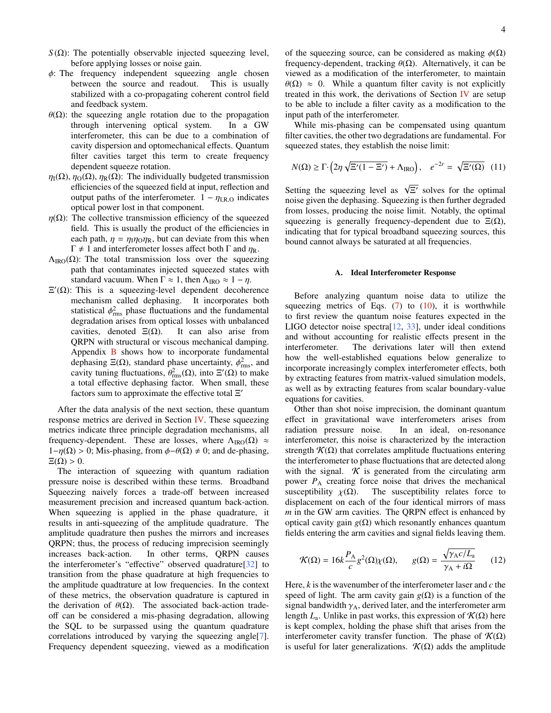- $S(\Omega)$ : The potentially observable injected squeezing level, before applying losses or noise gain.
- $\phi$ : The frequency independent squeezing angle chosen between the source and readout. This is usually between the source and readout. stabilized with a co-propagating coherent control field and feedback system.
- $θ$ (Ω): the squeezing angle rotation due to the propagation through intervening optical system. In a GW through intervening optical system. interferometer, this can be due to a combination of cavity dispersion and optomechanical effects. Quantum filter cavities target this term to create frequency dependent squeeze rotation.
- $\eta_1(\Omega)$ ,  $\eta_0(\Omega)$ ,  $\eta_R(\Omega)$ : The individually budgeted transmission efficiencies of the squeezed field at input, reflection and output paths of the interferometer.  $1 - \eta_{LR,O}$  indicates optical power lost in that component.
- $\eta(\Omega)$ : The collective transmission efficiency of the squeezed field. This is usually the product of the efficiencies in each path,  $\eta = \eta_1 \eta_0 \eta_R$ , but can deviate from this when  $\Gamma \neq 1$  and interferometer losses affect both  $\Gamma$  and  $η_R$ .
- $\Lambda_{\text{IRO}}(\Omega)$ : The total transmission loss over the squeezing path that contaminates injected squeezed states with standard vacuum. When  $\Gamma \approx 1$ , then  $\Lambda_{\text{IRO}} \approx 1 - \eta$ .
- $\Xi'(\Omega)$ : This is a squeezing-level dependent decoherence mechanism called dephasing. It incorporates both statistical  $\phi_{\text{rms}}^2$  phase fluctuations and the fundamental<br>degradation grises from optical losses with unbalanced degradation arises from optical losses with unbalanced cavities, denoted  $E(\Omega)$ . It can also arise from QRPN with structural or viscous mechanical damping. Appendix [B](#page-19-0) shows how to incorporate fundamental dephasing  $\Xi(\Omega)$ , standard phase uncertainty,  $\phi$ <br>cavity tuning fluctuations  $\theta^2$  (O) into  $\Xi'(\Omega)$  $_{\rm rms}^2$ , and cavity tuning fluctuations,  $\theta_{\text{rms}}^2(\Omega)$ , into  $\Xi'(\Omega)$  to make a total effective dephasing factor. When small, these factors sum to approximate the effective total  $\Xi'$

After the data analysis of the next section, these quantum response metrics are derived in Section [IV.](#page-8-0) These squeezing metrics indicate three principle degradation mechanisms, all frequency-dependent. These are losses, where  $\Lambda_{\text{IRO}}(\Omega) \approx$  $1-\eta(\Omega) > 0$ ; Mis-phasing, from  $\phi-\theta(\Omega) \neq 0$ ; and de-phasing,  $\Xi(\Omega) > 0.$ 

The interaction of squeezing with quantum radiation pressure noise is described within these terms. Broadband Squeezing naively forces a trade-off between increased measurement precision and increased quantum back-action. When squeezing is applied in the phase quadrature, it results in anti-squeezing of the amplitude quadrature. The amplitude quadrature then pushes the mirrors and increases QRPN; thus, the process of reducing imprecision seemingly increases back-action. In other terms, QRPN causes the interferometer's "effective" observed quadrature[\[32\]](#page-18-7) to transition from the phase quadrature at high frequencies to the amplitude quadtrature at low frequencies. In the context of these metrics, the observation quadrature is captured in the derivation of  $\theta(\Omega)$ . The associated back-action tradeoff can be considered a mis-phasing degradation, allowing the SQL to be surpassed using the quantum quadrature correlations introduced by varying the squeezing angle<sup>[\[7\]](#page-17-5)</sup>. Frequency dependent squeezing, viewed as a modification of the squeezing source, can be considered as making  $\phi(\Omega)$ frequency-dependent, tracking  $\theta(\Omega)$ . Alternatively, it can be viewed as a modification of the interferometer, to maintain  $\theta(\Omega) \approx 0$ . While a quantum filter cavity is not explicitly treated in this work, the derivations of Section [IV](#page-8-0) are setup to be able to include a filter cavity as a modification to the input path of the interferometer.

While mis-phasing can be compensated using quantum filter cavities, the other two degradations are fundamental. For squeezed states, they establish the noise limit:

$$
N(\Omega) \ge \Gamma \cdot \left( 2\eta \sqrt{\Xi'(1-\Xi')} + \Lambda_{\text{IRO}} \right), \quad e^{-2r} = \sqrt{\Xi'(\Omega)} \quad (11)
$$

Setting the squeezing level as  $\sqrt{\Xi'}$  solves for the optimal noise given the dephasing. Squeezing is then further degraded from losses, producing the noise limit. Notably, the optimal squeezing is generally frequency-dependent due to  $\Xi(\Omega)$ , indicating that for typical broadband squeezing sources, this bound cannot always be saturated at all frequencies.

### <span id="page-3-2"></span><span id="page-3-0"></span>A. Ideal Interferometer Response

Before analyzing quantum noise data to utilize the squeezing metrics of Eqs.  $(7)$  to  $(10)$ , it is worthwhile to first review the quantum noise features expected in the LIGO detector noise spectra[\[12,](#page-17-9) [33\]](#page-18-8), under ideal conditions and without accounting for realistic effects present in the interferometer. The derivations later will then extend how the well-established equations below generalize to incorporate increasingly complex interferometer effects, both by extracting features from matrix-valued simulation models, as well as by extracting features from scalar boundary-value equations for cavities.

Other than shot noise imprecision, the dominant quantum effect in gravitational wave interferometers arises from radiation pressure noise. In an ideal, on-resonance interferometer, this noise is characterized by the interaction strength  $\mathcal{K}(\Omega)$  that correlates amplitude fluctuations entering the interferometer to phase fluctuations that are detected along with the signal.  $\mathcal K$  is generated from the circulating arm power  $P_A$  creating force noise that drives the mechanical susceptibility  $\chi(\Omega)$ . The susceptibility relates force to displacement on each of the four identical mirrors of mass *m* in the GW arm cavities. The QRPN effect is enhanced by optical cavity gain *g*(Ω) which resonantly enhances quantum fields entering the arm cavities and signal fields leaving them.

<span id="page-3-1"></span>
$$
\mathcal{K}(\Omega) = 16k \frac{P_A}{c} g^2(\Omega) \chi(\Omega), \qquad g(\Omega) = \frac{\sqrt{\gamma_A c / L_a}}{\gamma_A + i\Omega} \qquad (12)
$$

Here, *k* is the wavenumber of the interferometer laser and *c* the speed of light. The arm cavity gain  $g(\Omega)$  is a function of the signal bandwidth  $\gamma_A$ , derived later, and the interferometer arm length  $L_a$ . Unlike in past works, this expression of  $\mathcal{K}(\Omega)$  here is kept complex, holding the phase shift that arises from the interferometer cavity transfer function. The phase of  $\mathcal{K}(\Omega)$ is useful for later generalizations.  $\mathcal{K}(\Omega)$  adds the amplitude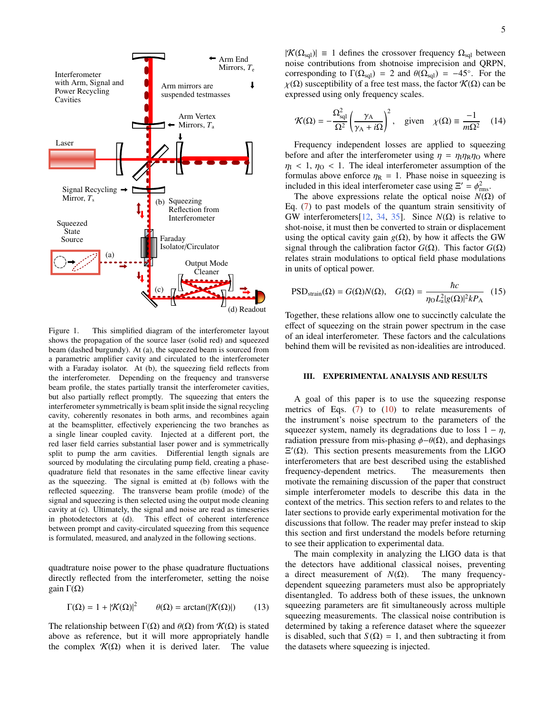

(a) (b) (c) Output Mode Cleaner Squeezing Reflection from Interferometer (d) Readout Squeezed State Source Signal Recycling Mirror,  $T_s$ Faraday Isolator/Circulator

Laser

Interferometer with Arm, Signal and Power Recycling **Cavities** 

<span id="page-4-4"></span>Figure 1. This simplified diagram of the interferometer layout shows the propagation of the source laser (solid red) and squeezed beam (dashed burgundy). At (a), the squeezed beam is sourced from a parametric amplifier cavity and circulated to the interferometer with a Faraday isolator. At (b), the squeezing field reflects from the interferometer. Depending on the frequency and transverse beam profile, the states partially transit the interferometer cavities, but also partially reflect promptly. The squeezing that enters the interferometer symmetrically is beam split inside the signal recycling cavity, coherently resonates in both arms, and recombines again at the beamsplitter, effectively experiencing the two branches as a single linear coupled cavity. Injected at a different port, the red laser field carries substantial laser power and is symmetrically split to pump the arm cavities. Differential length signals are sourced by modulating the circulating pump field, creating a phasequadrature field that resonates in the same effective linear cavity as the squeezing. The signal is emitted at (b) follows with the reflected squeezing. The transverse beam profile (mode) of the signal and squeezing is then selected using the output mode cleaning cavity at (c). Ultimately, the signal and noise are read as timeseries in photodetectors at (d). This effect of coherent interference between prompt and cavity-circulated squeezing from this sequence is formulated, measured, and analyzed in the following sections.

quadtrature noise power to the phase quadrature fluctuations directly reflected from the interferometer, setting the noise gain  $Γ(Ω)$ 

$$
\Gamma(\Omega) = 1 + |\mathcal{K}(\Omega)|^2 \qquad \theta(\Omega) = \arctan(|\mathcal{K}(\Omega)|) \qquad (13)
$$

The relationship between  $\Gamma(\Omega)$  and  $\theta(\Omega)$  from  $\mathcal{K}(\Omega)$  is stated above as reference, but it will more appropriately handle the complex  $\mathcal{K}(\Omega)$  when it is derived later. The value

<span id="page-4-2"></span>
$$
\mathcal{K}(\Omega) = -\frac{\Omega_{\text{sql}}^2}{\Omega^2} \left(\frac{\gamma_A}{\gamma_A + i\Omega}\right)^2, \quad \text{given} \quad \chi(\Omega) \equiv \frac{-1}{m\Omega^2} \quad (14)
$$

Frequency independent losses are applied to squeezing before and after the interferometer using  $\eta = \eta_1 \eta_R \eta_0$  where  $\eta_1$  < 1,  $\eta_0$  < 1. The ideal interferometer assumption of the formulas above enforce  $\eta_R = 1$ . Phase noise in squeezing is included in this ideal interferometer case using  $\Xi' = \phi_{\text{rms}}^2$ .<br>The above expressions relate the optical noise  $N(\Omega)$ 

The above expressions relate the optical noise  $N(\Omega)$  of Eq. [\(7\)](#page-2-1) to past models of the quantum strain sensitivity of GW interferometers[\[12,](#page-17-9) [34,](#page-18-9) [35\]](#page-18-10). Since  $N(\Omega)$  is relative to shot-noise, it must then be converted to strain or displacement using the optical cavity gain  $g(\Omega)$ , by how it affects the GW signal through the calibration factor  $G(Ω)$ . This factor  $G(Ω)$ relates strain modulations to optical field phase modulations in units of optical power.

<span id="page-4-0"></span>
$$
\text{PSD}_{\text{strain}}(\Omega) = G(\Omega)N(\Omega), \quad G(\Omega) = \frac{\hbar c}{\eta_0 L_a^2 |g(\Omega)|^2 k P_A} \quad (15)
$$

Together, these relations allow one to succinctly calculate the effect of squeezing on the strain power spectrum in the case of an ideal interferometer. These factors and the calculations behind them will be revisited as non-idealities are introduced.

## <span id="page-4-1"></span>III. EXPERIMENTAL ANALYSIS AND RESULTS

A goal of this paper is to use the squeezing response metrics of Eqs.  $(7)$  to  $(10)$  to relate measurements of the instrument's noise spectrum to the parameters of the squeezer system, namely its degradations due to loss  $1 - \eta$ , radiation pressure from mis-phasing  $\phi-\theta(\Omega)$ , and dephasings  $\Xi'(\Omega)$ . This section presents measurements from the LIGO interferometers that are best described using the established frequency-dependent metrics. The measurements then motivate the remaining discussion of the paper that construct simple interferometer models to describe this data in the context of the metrics. This section refers to and relates to the later sections to provide early experimental motivation for the discussions that follow. The reader may prefer instead to skip this section and first understand the models before returning to see their application to experimental data.

<span id="page-4-3"></span>The main complexity in analyzing the LIGO data is that the detectors have additional classical noises, preventing a direct measurement of  $N(\Omega)$ . The many frequencydependent squeezing parameters must also be appropriately disentangled. To address both of these issues, the unknown squeezing parameters are fit simultaneously across multiple squeezing measurements. The classical noise contribution is determined by taking a reference dataset where the squeezer is disabled, such that  $S(\Omega) = 1$ , and then subtracting it from the datasets where squeezing is injected.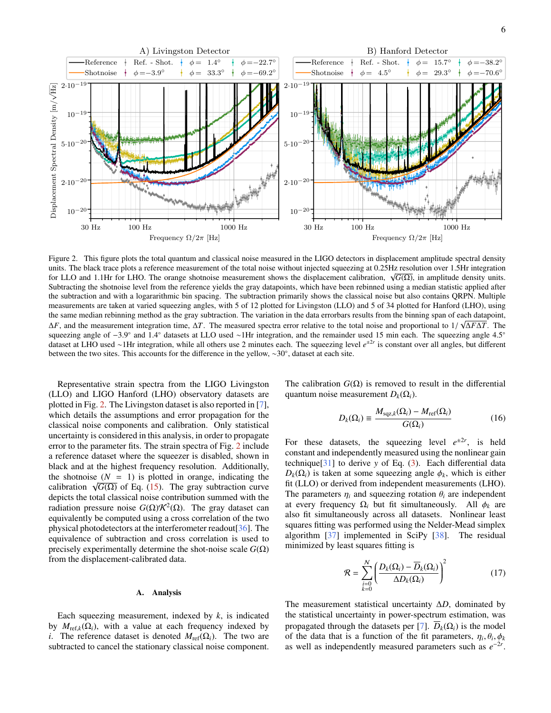

<span id="page-5-0"></span>Figure 2. This figure plots the total quantum and classical noise measured in the LIGO detectors in displacement amplitude spectral density units. The black trace plots a reference measurement of the total noise without injected squeezing at 0.25Hz resolution over 1.5Hr integration for LLO and 1.1Hr for LHO. The orange shotnoise measurement shows the displacement calibration, <sup>√</sup> *G*(Ω), in amplitude density units. Subtracting the shotnoise level from the reference yields the gray datapoints, which have been rebinned using a median statistic applied after the subtraction and with a logararithmic bin spacing. The subtraction primarily shows the classical noise but also contains QRPN. Multiple measurements are taken at varied squeezing angles, with 5 of 12 plotted for Livingston (LLO) and 5 of 34 plotted for Hanford (LHO), using the same median rebinning method as the gray subtraction. The variation in the data errorbars results from the binning span of each datapoint,  $\Delta F$ , and the measurement integration time,  $\Delta T$ . The measured spectra error relative to the total noise and proportional to 1/ $\sqrt{\Delta F} \Delta T$ . The squeezing angle 4.5° squeezing angle of −3.9° and 1.4° datasets at LLO used ∼1Hr integration, and the remainder used 15 min each. The squeezing angle 4.5°<br>dataset at LHO used ∼1Hr integration, while all others use 2 minutes each. The squeezin dataset at LHO used ∼1Hr integration, while all others use 2 minutes each. The squeezing level *e* ±2*r* is constant over all angles, but different between the two sites. This accounts for the difference in the yellow, ∼30◦ , dataset at each site.

Representative strain spectra from the LIGO Livingston (LLO) and LIGO Hanford (LHO) observatory datasets are plotted in Fig. [2.](#page-5-0) The Livingston dataset is also reported in [\[7\]](#page-17-5), which details the assumptions and error propagation for the classical noise components and calibration. Only statistical uncertainty is considered in this analysis, in order to propagate error to the parameter fits. The strain spectra of Fig. [2](#page-5-0) include a reference dataset where the squeezer is disabled, shown in black and at the highest frequency resolution. Additionally, the shotnoise  $(N = 1)$  is plotted in orange, indicating the the shotholse  $(N = 1)$  is plotted in orange, indicating the calibration  $\sqrt{G(\Omega)}$  of Eq. [\(15\)](#page-4-0). The gray subtraction curve depicts the total classical noise contribution summed with the radiation pressure noise  $G(\Omega) \mathcal{K}^2(\Omega)$ . The gray dataset can equivalently be computed using a cross correlation of the two physical photodetectors at the interferometer readout[\[36\]](#page-18-11). The equivalence of subtraction and cross correlation is used to precisely experimentally determine the shot-noise scale  $G(\Omega)$ from the displacement-calibrated data.

## A. Analysis

Each squeezing measurement, indexed by *k*, is indicated by  $M_{ref,k}(\Omega_i)$ , with a value at each frequency indexed by *i*. The reference dataset is denoted  $M_{ref}(\Omega_i)$ . The two are subtracted to cancel the stationary classical noise component. The calibration  $G(\Omega)$  is removed to result in the differential quantum noise measurement  $D_k(\Omega_i)$ .

<span id="page-5-1"></span>
$$
D_k(\Omega_i) \equiv \frac{M_{\text{sqz},k}(\Omega_i) - M_{\text{ref}}(\Omega_i)}{G(\Omega_i)}
$$
(16)

For these datasets, the squeezing level  $e^{\pm 2r}$ , is held constant and independently measured using the nonlinear gain technique[\[31\]](#page-18-6) to derive *y* of Eq. [\(3\)](#page-2-0). Each differential data  $D_k(\Omega_i)$  is taken at some squeezing angle  $\phi_k$ , which is either fit (LLO) or derived from independent measurements (LHO). The parameters  $\eta_i$  and squeezing rotation  $\theta_i$  are independent at every frequency  $\Omega_i$  but fit simultaneously. All  $\phi_k$  are also fit simultaneously across all datasets. Nonlinear least squares fitting was performed using the Nelder-Mead simplex algorithm [\[37\]](#page-18-12) implemented in SciPy [\[38\]](#page-18-13). The residual minimized by least squares fitting is

$$
\mathcal{R} = \sum_{\substack{i=0 \ k=0}}^{N} \left( \frac{D_k(\Omega_i) - \overline{D}_k(\Omega_i)}{\Delta D_k(\Omega_i)} \right)^2 \tag{17}
$$

The measurement statistical uncertainty ∆*D*, dominated by the statistical uncertainty in power-spectrum estimation, was propagated through the datasets per [\[7\]](#page-17-5).  $D_k(\Omega_i)$  is the model of the data that is a function of the fit parameters,  $\eta_i$ ,  $\theta_i$ ,  $\phi_k$ or the data that is a function of the fit parameters,  $\eta_i$ ,  $\theta_i$ ,  $\phi_k$  as well as independently measured parameters such as  $e^{-2r}$ .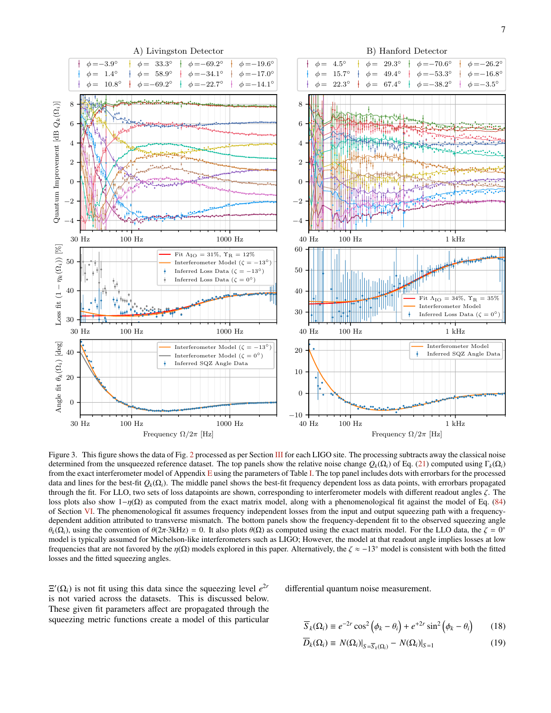

<span id="page-6-0"></span>Figure 3. This figure shows the data of Fig. [2](#page-5-0) processed as per Section [III](#page-4-1) for each LIGO site. The processing subtracts away the classical noise determined from the unsqueezed reference dataset. The top panels show the relative noise change  $Q_k(\Omega_i)$  of Eq. [\(21\)](#page-7-0) computed using  $\Gamma_k(\Omega_i)$ from the exact interferometer model of Appendix [E](#page-21-0) using the parameters of Table [I.](#page-13-0) The top panel includes dots with errorbars for the processed data and lines for the best-fit  $Q_k(\Omega_i)$ . The middle panel shows the best-fit frequency dependent loss as data points, with errorbars propagated through the fit. For LLO, two sets of loss datapoints are shown, corresponding to interferometer models with different readout angles  $\zeta$ . The loss plots also show  $1-\eta(\Omega)$  as computed from the exact matrix model, along with a phenomenological fit against the model of Eq. [\(84\)](#page-15-0) of Section [VI.](#page-13-1) The phenomenological fit assumes frequency independent losses from the input and output squeezing path with a frequencydependent addition attributed to transverse mismatch. The bottom panels show the frequency-dependent fit to the observed squeezing angle θ<sub>k</sub>(Ω<sub>i</sub>), using the convention of  $\theta(2\pi \cdot 3kHz) = 0$ . It also plots  $\theta(\Omega)$  as computed using the exact matrix model. For the LLO data, the  $\zeta = 0^{\circ}$  model is typically assumed for Michelson-like interferometers suc model is typically assumed for Michelson-like interferometers such as LIGO; However, the model at that readout angle implies losses at low frequencies that are not favored by the  $\eta(\Omega)$  models explored in this paper. Alternatively, the  $\zeta \approx -13^\circ$  model is consistent with both the fitted losses and the fitted squeezing angles.

 $\Xi'(\Omega_i)$  is not fit using this data since the squeezing level  $e^{2r}$ is not varied across the datasets. This is discussed below. These given fit parameters affect are propagated through the squeezing metric functions create a model of this particular differential quantum noise measurement.

$$
\overline{S}_k(\Omega_i) \equiv e^{-2r} \cos^2 \left( \phi_k - \theta_i \right) + e^{+2r} \sin^2 \left( \phi_k - \theta_i \right) \tag{18}
$$

$$
D_k(\Omega_i) \equiv N(\Omega_i)|_{S = \overline{S}_k(\Omega_i)} - N(\Omega_i)|_{S = 1}
$$
\n(19)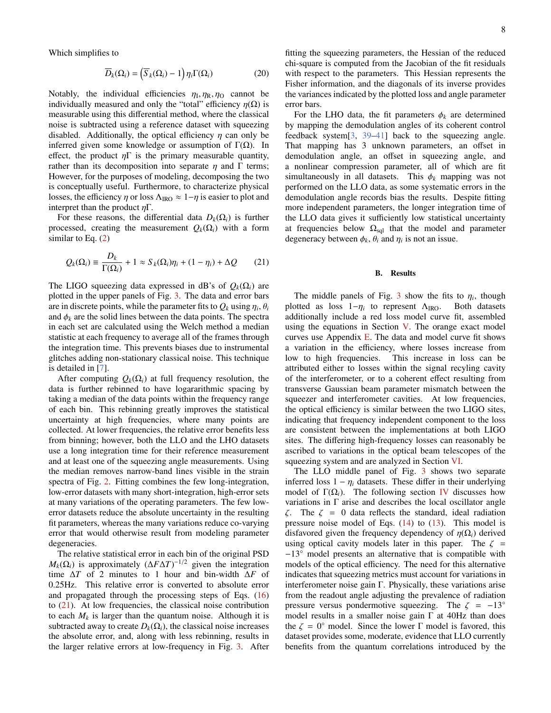Which simplifies to

$$
\overline{D}_k(\Omega_i) = \left(\overline{S}_k(\Omega_i) - 1\right) \eta_i \Gamma(\Omega_i)
$$
\n(20)

Notably, the individual efficiencies  $\eta_1, \eta_2, \eta_0$  cannot be individually measured and only the "total" efficiency  $n(\Omega)$  is individually measured and only the "total" efficiency  $\eta(\Omega)$  is measurable using this differential method, where the classical noise is subtracted using a reference dataset with squeezing disabled. Additionally, the optical efficiency  $\eta$  can only be inferred given some knowledge or assumption of Γ(Ω). In effect, the product  $\eta \Gamma$  is the primary measurable quantity, rather than its decomposition into separate  $\eta$  and  $\Gamma$  terms; However, for the purposes of modeling, decomposing the two is conceptually useful. Furthermore, to characterize physical losses, the efficiency  $\eta$  or loss  $\Lambda_{\text{IRO}} \approx 1-\eta$  is easier to plot and interpret than the product  $\eta \Gamma$ .

For these reasons, the differential data  $D_k(\Omega_i)$  is further processed, creating the measurement  $Q_k(\Omega_i)$  with a form similar to Eq.  $(2)$ 

$$
Q_k(\Omega_i) \equiv \frac{D_k}{\Gamma(\Omega_i)} + 1 \approx S_k(\Omega_i)\eta_i + (1 - \eta_i) + \Delta Q \qquad (21)
$$

The LIGO squeezing data expressed in dB's of  $Q_k(\Omega_i)$  are plotted in the upper panels of Fig. [3.](#page-6-0) The data and error bars are in discrete points, while the parameter fits to  $Q_k$  using  $\eta_i$ ,  $\theta_i$ <br>and  $\phi_k$  are the solid lines between the data points. The spectra and  $\phi_k$  are the solid lines between the data points. The spectra in each set are calculated using the Welch method a median statistic at each frequency to average all of the frames through the integration time. This prevents biases due to instrumental glitches adding non-stationary classical noise. This technique is detailed in [\[7\]](#page-17-5).

After computing  $Q_k(\Omega_i)$  at full frequency resolution, the data is further rebinned to have logararithmic spacing by taking a median of the data points within the frequency range of each bin. This rebinning greatly improves the statistical uncertainty at high frequencies, where many points are collected. At lower frequencies, the relative error benefits less from binning; however, both the LLO and the LHO datasets use a long integration time for their reference measurement and at least one of the squeezing angle measurements. Using the median removes narrow-band lines visible in the strain spectra of Fig. [2.](#page-5-0) Fitting combines the few long-integration, low-error datasets with many short-integration, high-error sets at many variations of the operating parameters. The few lowerror datasets reduce the absolute uncertainty in the resulting fit parameters, whereas the many variations reduce co-varying error that would otherwise result from modeling parameter degeneracies.

The relative statistical error in each bin of the original PSD  $M_k(\Omega_i)$  is approximately  $(\Delta F \Delta T)^{-1/2}$  given the integration time ∆*T* of 2 minutes to 1 hour and bin-width ∆*F* of 0.25Hz. This relative error is converted to absolute error and propagated through the processing steps of Eqs. [\(16\)](#page-5-1) to [\(21\)](#page-7-0). At low frequencies, the classical noise contribution to each  $M_k$  is larger than the quantum noise. Although it is subtracted away to create  $D_k(\Omega_i)$ , the classical noise increases the absolute error, and, along with less rebinning, results in the larger relative errors at low-frequency in Fig. [3.](#page-6-0) After

fitting the squeezing parameters, the Hessian of the reduced chi-square is computed from the Jacobian of the fit residuals with respect to the parameters. This Hessian represents the Fisher information, and the diagonals of its inverse provides the variances indicated by the plotted loss and angle parameter error bars.

For the LHO data, the fit parameters  $\phi_k$  are determined by mapping the demodulation angles of its coherent control feedback system $\lceil 3, 39-41 \rceil$  back to the squeezing angle. That mapping has 3 unknown parameters, an offset in demodulation angle, an offset in squeezing angle, and a nonlinear compression parameter, all of which are fit simultaneously in all datasets. This  $\phi_k$  mapping was not performed on the LLO data, as some systematic errors in the demodulation angle records bias the results. Despite fitting more independent parameters, the longer integration time of the LLO data gives it sufficiently low statistical uncertainty at frequencies below  $\Omega_{\text{sal}}$  that the model and parameter degeneracy between  $\phi_k$ ,  $\theta_i$  and  $\eta_i$  is not an issue.

### B. Results

<span id="page-7-0"></span>The middle panels of Fig. [3](#page-6-0) show the fits to  $\eta_i$ , though<br>ofted as loss  $1-n$  to represent  $\Lambda_{\text{PQ}}$ . Both datasets plotted as loss  $1-\eta_i$  to represent  $\Lambda_{\rm IRO}$ . Both datasets additionally include a red loss model curve fit assembled additionally include a red loss model curve fit, assembled using the equations in Section [V.](#page-11-0) The orange exact model curves use Appendix [E.](#page-21-0) The data and model curve fit shows a variation in the efficiency, where losses increase from low to high frequencies. This increase in loss can be attributed either to losses within the signal recyling cavity of the interferometer, or to a coherent effect resulting from transverse Gaussian beam parameter mismatch between the squeezer and interferometer cavities. At low frequencies, the optical efficiency is similar between the two LIGO sites, indicating that frequency independent component to the loss are consistent between the implementations at both LIGO sites. The differing high-frequency losses can reasonably be ascribed to variations in the optical beam telescopes of the squeezing system and are analyzed in Section [VI.](#page-13-1)

The LLO middle panel of Fig. [3](#page-6-0) shows two separate inferred loss  $1 - \eta_i$  datasets. These differ in their underlying model of  $\Gamma(\Omega_i)$ . The following section [IV](#page-8-0) discusses how variations in  $\Gamma$  arise and describes the local oscillator angle ζ. The ζ <sup>=</sup> 0 data reflects the standard, ideal radiation pressure noise model of Eqs.  $(14)$  to  $(13)$ . This model is disfavored given the frequency dependency of  $\eta(\Omega_i)$  derived using optical cavity models later in this paper. The  $\zeta$  = −13◦ model presents an alternative that is compatible with models of the optical efficiency. The need for this alternative indicates that squeezing metrics must account for variations in interferometer noise gain Γ. Physically, these variations arise from the readout angle adjusting the prevalence of radiation pressure versus pondermotive squeezing. The  $\zeta = -13^\circ$ model results in a smaller noise gain  $\Gamma$  at 40Hz than does the  $\zeta = 0^{\circ}$  model. Since the lower  $\Gamma$  model is favored, this dataset provides some moderate evidence that LO currently dataset provides some, moderate, evidence that LLO currently benefits from the quantum correlations introduced by the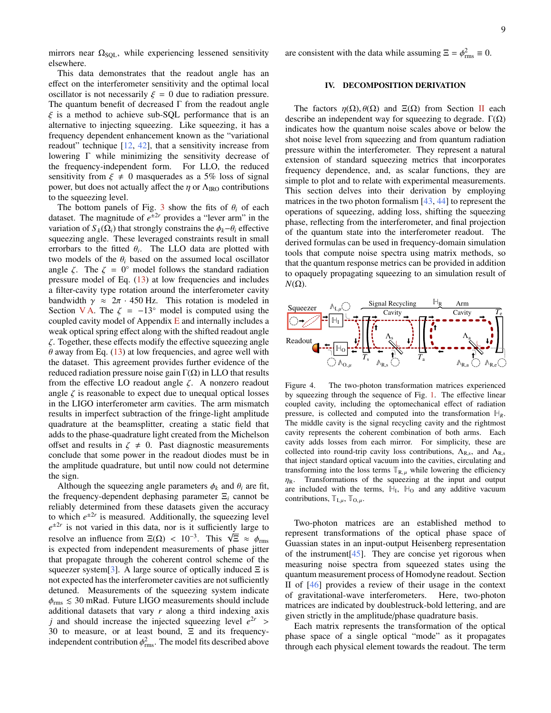mirrors near  $\Omega_{SQL}$ , while experiencing lessened sensitivity elsewhere.

This data demonstrates that the readout angle has an effect on the interferometer sensitivity and the optimal local oscillator is not necessarily  $\xi = 0$  due to radiation pressure. The quantum benefit of decreased  $\Gamma$  from the readout angle  $\xi$  is a method to achieve sub-SQL performance that is an alternative to injecting squeezing. Like squeezing, it has a frequency dependent enhancement known as the "variational readout" technique  $[12, 42]$  $[12, 42]$  $[12, 42]$ , that a sensitivity increase from lowering Γ while minimizing the sensitivity decrease of the frequency-independent form. For LLO, the reduced sensitivity from  $\xi \neq 0$  masquerades as a 5% loss of signal power, but does not actually affect the  $\eta$  or  $\Lambda_{\text{IRO}}$  contributions to the squeezing level.

The bottom panels of Fig. [3](#page-6-0) show the fits of  $\theta_i$  of each dataset. The magnitude of  $e^{\pm 2r}$  provides a "lever arm" in the variation of  $S_k(\Omega_i)$  that strongly constrains the  $\phi_k-\theta_i$  effective squeezing angle. These leveraged constraints result in small errorbars to the fitted  $\theta_i$ . The LLO data are plotted with two models of the  $\theta$  based on the assumed local oscillator two models of the  $\theta_i$  based on the assumed local oscillator angle  $\zeta$ . The  $\zeta = 0^{\circ}$  model follows the standard radiation<br>pressure model of Eq. (13) at low frequencies and includes pressure model of Eq. [\(13\)](#page-4-3) at low frequencies and includes a filter-cavity type rotation around the interferometer cavity bandwidth  $\gamma \approx 2\pi \cdot 450$  Hz. This rotation is modeled in Section [V A.](#page-12-0) The  $\zeta = -13^\circ$  model is computed using the coupled cavity model of Appendix  $E$  and internally includes a weak optical spring effect along with the shifted readout angle  $\zeta$ . Together, these effects modify the effective squeezing angle  $\theta$  away from Eq. [\(13\)](#page-4-3) at low frequencies, and agree well with the dataset. This agreement provides further evidence of the reduced radiation pressure noise gain  $\Gamma(\Omega)$  in LLO that results from the effective LO readout angle  $\zeta$ . A nonzero readout angle  $\zeta$  is reasonable to expect due to unequal optical losses in the LIGO interferometer arm cavities. The arm mismatch results in imperfect subtraction of the fringe-light amplitude quadrature at the beamsplitter, creating a static field that adds to the phase-quadrature light created from the Michelson offset and results in  $\zeta \neq 0$ . Past diagnostic measurements conclude that some power in the readout diodes must be in the amplitude quadrature, but until now could not determine the sign.

Although the squeezing angle parameters  $\phi_k$  and  $\theta_i$  are fit, the frequency-dependent dephasing parameter Ξ*<sup>i</sup>* cannot be reliably determined from these datasets given the accuracy to which  $e^{\pm 2r}$  is measured. Additionally, the squeezing level  $e^{\pm 2r}$  is not varied in this data, nor is it sufficiently large to  $e^{-x}$  is not varied in this data, nor is it sufficiently large to<br>resolve an influence from  $\Xi(\Omega) < 10^{-3}$ . This  $\sqrt{\Xi} \approx \phi_{\text{rms}}$ <br>is expected from independent measurements of phase jitter is expected from independent measurements of phase jitter that propagate through the coherent control scheme of the squeezer system[\[3\]](#page-17-2). A large source of optically induced  $\Xi$  is not expected has the interferometer cavities are not sufficiently detuned. Measurements of the squeezing system indicate  $\phi_{\rm rms} \leq 30$  mRad. Future LIGO measurements should include additional datasets that vary *r* along a third indexing axis *j* and should increase the injected squeezing level  $e^{2r}$ 30 to measure, or at least bound,  $\Xi$  and its frequencyindependent contribution  $\phi_{\text{rms}}^2$ . The model fits described above

are consistent with the data while assuming  $\Xi = \phi_{\text{rms}}^2 \equiv 0$ .

## <span id="page-8-0"></span>IV. DECOMPOSITION DERIVATION

The factors  $\eta(\Omega)$ ,  $\theta(\Omega)$  and  $\Xi(\Omega)$  from Section [II](#page-2-4) each describe an independent way for squeezing to degrade.  $Γ(Ω)$ indicates how the quantum noise scales above or below the shot noise level from squeezing and from quantum radiation pressure within the interferometer. They represent a natural extension of standard squeezing metrics that incorporates frequency dependence, and, as scalar functions, they are simple to plot and to relate with experimental measurements. This section delves into their derivation by employing matrices in the two photon formalism [\[43,](#page-18-17) [44\]](#page-18-18) to represent the operations of squeezing, adding loss, shifting the squeezing phase, reflecting from the interferometer, and final projection of the quantum state into the interferometer readout. The derived formulas can be used in frequency-domain simulation tools that compute noise spectra using matrix methods, so that the quantum response metrics can be provided in addition to opaquely propagating squeezing to an simulation result of  $N(\Omega)$ .



<span id="page-8-1"></span>Figure 4. The two-photon transformation matrices experienced by squeezing through the sequence of Fig. [1.](#page-4-4) The effective linear coupled cavity, including the optomechanical effect of radiation pressure, is collected and computed into the transformation **H***R*. The middle cavity is the signal recycling cavity and the rightmost cavity represents the coherent combination of both arms. Each cavity adds losses from each mirror. For simplicity, these are collected into round-trip cavity loss contributions,  $\Lambda_{R,s}$ , and  $\Lambda_{R,s}$ <br>that inject standard ortical vacuum into the sovition simulating and that inject standard optical vacuum into the cavities, circulating and transforming into the loss terms  $\mathbb{T}_{\mathsf{R},\mu}$  while lowering the efficiency  $\eta_R$ . Transformations of the squeezing at the input and output are included with the terms,  $\mathbb{H}_{I}$ ,  $\mathbb{H}_{O}$  and any additive vacuum contributions,  $\mathbb{T}_{\mathrm{I},\mu}$ ,  $\mathbb{T}_{\mathrm{O},\mu}$ .

Two-photon matrices are an established method to represent transformations of the optical phase space of Guassian states in an input-output Heisenberg representation of the instrument $[45]$ . They are concise yet rigorous when measuring noise spectra from squeezed states using the quantum measurement process of Homodyne readout. Section II of [\[46\]](#page-18-20) provides a review of their usage in the context of gravitational-wave interferometers. Here, two-photon matrices are indicated by doublestruck-bold lettering, and are given strictly in the amplitude/phase quadrature basis.

Each matrix represents the transformation of the optical phase space of a single optical "mode" as it propagates through each physical element towards the readout. The term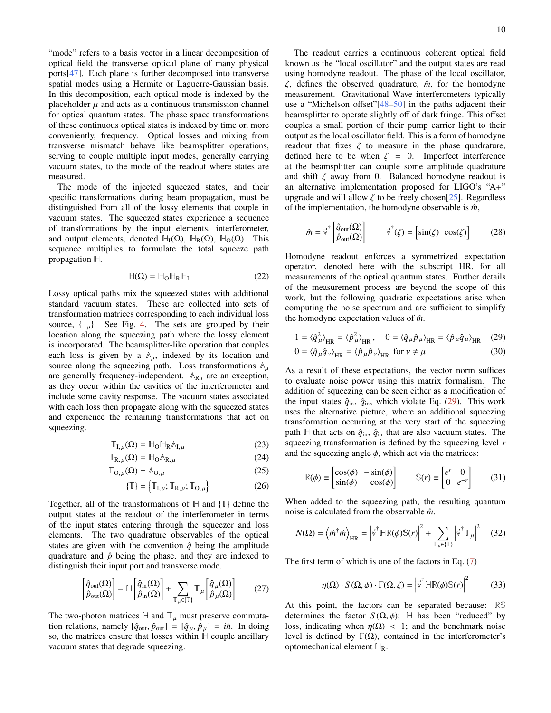"mode" refers to a basis vector in a linear decomposition of optical field the transverse optical plane of many physical ports[\[47\]](#page-18-21). Each plane is further decomposed into transverse spatial modes using a Hermite or Laguerre-Gaussian basis. In this decomposition, each optical mode is indexed by the placeholder  $\mu$  and acts as a continuous transmission channel for optical quantum states. The phase space transformations of these continuous optical states is indexed by time or, more conveniently, frequency. Optical losses and mixing from transverse mismatch behave like beamsplitter operations, serving to couple multiple input modes, generally carrying vacuum states, to the mode of the readout where states are measured.

The mode of the injected squeezed states, and their specific transformations during beam propagation, must be distinguished from all of the lossy elements that couple in vacuum states. The squeezed states experience a sequence of transformations by the input elements, interferometer, and output elements, denoted  $H_I(\Omega)$ ,  $H_R(\Omega)$ ,  $H_O(\Omega)$ . This sequence multiplies to formulate the total squeeze path propagation **H**.

$$
\mathbb{H}(\Omega) = \mathbb{H}_{\Omega} \mathbb{H}_{R} \mathbb{H}_{I}
$$
 (22)

Lossy optical paths mix the squeezed states with additional standard vacuum states. These are collected into sets of transformation matrices corresponding to each individual loss source,  $\{\mathbb{T}_{\mu}\}\$ . See Fig. [4.](#page-8-1) The sets are grouped by their location along the squeezing path where the lossy element is incorporated. The beamsplitter-like operation that couples each loss is given by a  $\mathbb{A}_{\mu}$ , indexed by its location and source along the squeezing path. Loss transformations **<sup>Λ</sup>**µ are generally frequency-independent. **<sup>Λ</sup>**R,*<sup>i</sup>* are an exception, as they occur within the cavities of the interferometer and include some cavity response. The vacuum states associated with each loss then propagate along with the squeezed states and experience the remaining transformations that act on squeezing.

$$
\mathbb{T}_{\mathrm{I},\mu}(\Omega) = \mathbb{H}_{\mathrm{O}} \mathbb{H}_{\mathrm{R}} \mathbb{A}_{\mathrm{I},\mu} \tag{23}
$$

$$
\mathbb{T}_{\mathbf{R},\mu}(\Omega) = \mathbb{H}_{\mathbf{O}} \mathbb{A}_{\mathbf{R},\mu} \tag{24}
$$

$$
\mathbb{T}_{\mathcal{O},\mu}(\Omega) = \mathbb{A}_{\mathcal{O},\mu} \tag{25}
$$

$$
\{\mathbb{T}\} = \left\{\mathbb{T}_{\mathbf{I},\mu}; \mathbb{T}_{\mathbf{R},\mu}; \mathbb{T}_{\mathbf{O},\mu}\right\} \tag{26}
$$

Together, all of the transformations of **H** and {**T**} define the output states at the readout of the interferometer in terms of the input states entering through the squeezer and loss elements. The two quadrature observables of the optical states are given with the convention  $\hat{q}$  being the amplitude quadrature and  $\hat{p}$  being the phase, and they are indexed to distinguish their input port and transverse mode.

$$
\begin{bmatrix} \hat{q}_{\text{out}}(\Omega) \\ \hat{p}_{\text{out}}(\Omega) \end{bmatrix} = \mathbb{H} \begin{bmatrix} \hat{q}_{\text{in}}(\Omega) \\ \hat{p}_{\text{in}}(\Omega) \end{bmatrix} + \sum_{\mathbb{T}_{\mu} \in \{\mathbb{T}\}} \mathbb{T}_{\mu} \begin{bmatrix} \hat{q}_{\mu}(\Omega) \\ \hat{p}_{\mu}(\Omega) \end{bmatrix}
$$
 (27)

The two-photon matrices  $\mathbb{H}$  and  $\mathbb{T}_{\mu}$  must preserve commutation relations, namely  $[\hat{q}_{\text{out}}, \hat{p}_{\text{out}}] = [\hat{q}_{\mu}, \hat{p}_{\mu}] = i\hbar$ . In doing so, the matrices ensure that losses within **H** couple ancillary vacuum states that degrade squeezing.

The readout carries a continuous coherent optical field known as the "local oscillator" and the output states are read using homodyne readout. The phase of the local oscillator,  $\zeta$ , defines the observed quadrature,  $\hat{m}$ , for the homodyne measurement. Gravitational Wave interferometers typically use a "Michelson offset"[\[48](#page-18-22)[–50\]](#page-18-23) in the paths adjacent their beamsplitter to operate slightly off of dark fringe. This offset couples a small portion of their pump carrier light to their output as the local oscillator field. This is a form of homodyne readout that fixes  $\zeta$  to measure in the phase quadrature, defined here to be when  $\zeta = 0$ . Imperfect interference at the beamsplitter can couple some amplitude quadrature and shift  $\zeta$  away from 0. Balanced homodyne readout is an alternative implementation proposed for LIGO's "A+" upgrade and will allow  $\zeta$  to be freely chosen[\[25\]](#page-18-4). Regardless of the implementation, the homodyne observable is  $\hat{m}$ ,

<span id="page-9-3"></span>
$$
\hat{m} = \vec{v}^{\dagger} \begin{bmatrix} \hat{q}_{\text{out}}(\Omega) \\ \hat{p}_{\text{out}}(\Omega) \end{bmatrix} \qquad \vec{v}^{\dagger}(\zeta) = \begin{bmatrix} \sin(\zeta) & \cos(\zeta) \end{bmatrix} \tag{28}
$$

Homodyne readout enforces a symmetrized expectation operator, denoted here with the subscript HR, for all measurements of the optical quantum states. Further details of the measurement process are beyond the scope of this work, but the following quadratic expectations arise when computing the noise spectrum and are sufficient to simplify the homodyne expectation values of  $\hat{m}$ .

<span id="page-9-0"></span>
$$
1 = \langle \hat{q}_{\mu}^{2} \rangle_{\text{HR}} = \langle \hat{p}_{\mu}^{2} \rangle_{\text{HR}}, \quad 0 = \langle \hat{q}_{\mu} \hat{p}_{\mu} \rangle_{\text{HR}} = \langle \hat{p}_{\mu} \hat{q}_{\mu} \rangle_{\text{HR}} \quad (29)
$$

<span id="page-9-2"></span>
$$
0 = \langle \hat{q}_{\mu} \hat{q}_{\nu} \rangle_{HR} = \langle \hat{p}_{\mu} \hat{p}_{\nu} \rangle_{HR} \text{ for } \nu \neq \mu
$$
 (30)

As a result of these expectations, the vector norm suffices to evaluate noise power using this matrix formalism. The addition of squeezing can be seen either as a modification of the input states  $\hat{q}_{in}$ ,  $\hat{q}_{in}$ , which violate Eq. [\(29\)](#page-9-0). This work uses the alternative picture, where an additional squeezing transformation occurring at the very start of the squeezing path  $H$  that acts on  $\hat{q}_{in}$ ,  $\hat{q}_{in}$  that are also vacuum states. The squeezing transformation is defined by the squeezing level *r* and the squeezing angle  $\phi$ , which act via the matrices:

$$
\mathbb{R}(\phi) \equiv \begin{bmatrix} \cos(\phi) & -\sin(\phi) \\ \sin(\phi) & \cos(\phi) \end{bmatrix} \qquad \mathbb{S}(r) \equiv \begin{bmatrix} e^r & 0 \\ 0 & e^{-r} \end{bmatrix} \tag{31}
$$

When added to the squeezing path, the resulting quantum noise is calculated from the observable  $\hat{m}$ .

$$
N(\Omega) = \left\langle \hat{m}^{\dagger} \hat{m} \right\rangle_{\text{HR}} = \left| \vec{v}^{\dagger} \mathbb{H} \mathbb{R}(\phi) \mathbb{S}(r) \right|^2 + \sum_{\mathbb{T}_{\mu} \in \{\mathbb{T}\}} \left| \vec{v}^{\dagger} \mathbb{T}_{\mu} \right|^2 \quad (32)
$$

<span id="page-9-5"></span>The first term of which is one of the factors in Eq. [\(7\)](#page-2-1)

<span id="page-9-4"></span><span id="page-9-1"></span>
$$
\eta(\Omega) \cdot S(\Omega, \phi) \cdot \Gamma(\Omega, \zeta) = \left| \vec{v}^\dagger \mathbb{H} \mathbb{R}(\phi) \mathbb{S}(r) \right|^2 \tag{33}
$$

At this point, the factors can be separated because: **RS** determines the factor  $S(\Omega, \phi)$ ; H has been "reduced" by loss, indicating when  $\eta(\Omega)$  < 1; and the benchmark noise level is defined by Γ(Ω), contained in the interferometer's optomechanical element **H**R.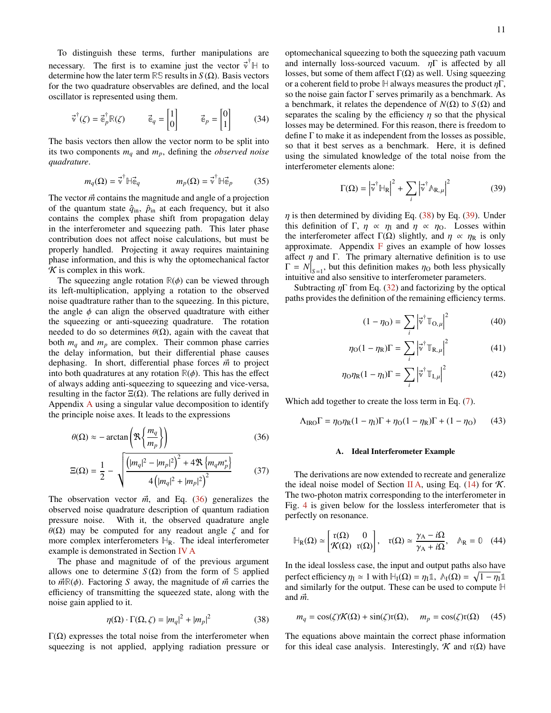To distinguish these terms, further manipulations are necessary. The first is to examine just the vector  $\vec{v}^{\dagger}$  H to determine how the later term **RS** results in *S* (Ω). Basis vectors for the two quadrature observables are defined, and the local oscillator is represented using them.

$$
\vec{\mathbf{v}}^{\dagger}(\zeta) = \vec{\mathbf{e}}_p^{\dagger} \mathbb{R}(\zeta) \qquad \vec{\mathbf{e}}_q = \begin{bmatrix} 1 \\ 0 \end{bmatrix} \qquad \vec{\mathbf{e}}_p = \begin{bmatrix} 0 \\ 1 \end{bmatrix} \tag{34}
$$

The basis vectors then allow the vector norm to be split into its two components *m<sup>q</sup>* and *mp*, defining the *observed noise quadrature*.

$$
m_q(\Omega) = \vec{\mathbf{v}}^{\dagger} \mathbb{H} \vec{\mathbf{e}}_q \qquad m_p(\Omega) = \vec{\mathbf{v}}^{\dagger} \mathbb{H} \vec{\mathbf{e}}_p \qquad (35)
$$

The vector  $\vec{m}$  contains the magnitude and angle of a projection of the quantum state  $\hat{q}_{in}$ ,  $\hat{p}_{in}$  at each frequency, but it also contains the complex phase shift from propagation delay in the interferometer and squeezing path. This later phase contribution does not affect noise calculations, but must be properly handled. Projecting it away requires maintaining phase information, and this is why the optomechanical factor  $\cal K$  is complex in this work.

The squeezing angle rotation  $\mathbb{R}(\phi)$  can be viewed through its left-multiplication, applying a rotation to the observed noise quadtrature rather than to the squeezing. In this picture, the angle  $\phi$  can align the observed quadtrature with either the squeezing or anti-squeezing quadrature. The rotation needed to do so determines  $\theta(\Omega)$ , again with the caveat that both  $m_q$  and  $m_p$  are complex. Their common phase carries the delay information, but their differential phase causes dephasing. In short, differential phase forces  $\vec{m}$  to project into both quadratures at any rotation  $\mathbb{R}(\phi)$ . This has the effect of always adding anti-squeezing to squeezing and vice-versa, resulting in the factor  $E(\Omega)$ . The relations are fully derived in Appendix [A](#page-19-1) using a singular value decomposition to identify the principle noise axes. It leads to the expressions

$$
\theta(\Omega) \approx -\arctan\left(\Re\left\{\frac{m_q}{m_p}\right\}\right)
$$
\n
$$
\Xi(\Omega) = \frac{1}{2} - \sqrt{\frac{\left(|m_q|^2 - |m_p|^2\right)^2 + 4\Re\left\{m_q m_p^*\right\}}{4\left(|m_q|^2 + |m_p|^2\right)^2}}
$$
\n(37)

The observation vector  $\vec{m}$ , and Eq. [\(36\)](#page-10-0) generalizes the observed noise quadrature description of quantum radiation pressure noise. With it, the observed quadrature angle θ(Ω) may be computed for any readout angle  $\zeta$  and for more complex interferometers  $\mathbb{H}_R$ . The ideal interferometer example is demonstrated in Section [IV A](#page-10-1)

The phase and magnitude of of the previous argument allows one to determine *S*( $Ω$ ) from the form of *S* applied to  $\vec{m}R(\phi)$ . Factoring *S* away, the magnitude of  $\vec{m}$  carries the efficiency of transmitting the squeezed state, along with the noise gain applied to it.

$$
\eta(\Omega) \cdot \Gamma(\Omega, \zeta) = |m_q|^2 + |m_p|^2 \tag{38}
$$

 $Γ(Ω)$  expresses the total noise from the interferometer when squeezing is not applied, applying radiation pressure or optomechanical squeezing to both the squeezing path vacuum and internally loss-sourced vacuum.  $\eta \Gamma$  is affected by all losses, but some of them affect  $\Gamma(\Omega)$  as well. Using squeezing or a coherent field to probe  $H$  always measures the product  $\eta \Gamma$ , so the noise gain factor  $\Gamma$  serves primarily as a benchmark. As a benchmark, it relates the dependence of *N*(Ω) to *S* (Ω) and separates the scaling by the efficiency  $\eta$  so that the physical losses may be determined. For this reason, there is freedom to define Γ to make it as independent from the losses as possible, so that it best serves as a benchmark. Here, it is defined using the simulated knowledge of the total noise from the interferometer elements alone:

<span id="page-10-3"></span>
$$
\Gamma(\Omega) = \left| \vec{v}^\dagger \mathbb{H}_R \right|^2 + \sum_i \left| \vec{v}^\dagger \mathbb{A}_{R,\mu} \right|^2 \tag{39}
$$

 $\eta$  is then determined by dividing Eq. [\(38\)](#page-10-2) by Eq. [\(39\)](#page-10-3). Under this definition of Γ,  $\eta \propto \eta_1$  and  $\eta \propto \eta_0$ . Losses within the interferometer affect  $\Gamma(\Omega)$  slightly, and  $\eta \propto \eta_R$  is only approximate. Appendix  $\bf{F}$  $\bf{F}$  $\bf{F}$  gives an example of how losses affect  $\eta$  and Γ. The primary alternative definition is to use  $\Gamma = N|_{S=1}$ , but this definition makes  $\eta_{\rm O}$  both less physically intuitive and also sensitive to interferometer parameters intuitive and also sensitive to interferometer parameters.

Subtracting  $\eta \Gamma$  from Eq. [\(32\)](#page-9-1) and factorizing by the optical paths provides the definition of the remaining efficiency terms.

$$
(1 - \eta_{\mathcal{O}}) = \sum_{i} \left| \vec{v}^{\dagger} \mathbb{T}_{\mathcal{O}, \mu} \right|^{2} \tag{40}
$$

$$
\eta_{\text{O}}(1 - \eta_{\text{R}})\Gamma = \sum_{i} \left| \vec{v}^{\dagger} \mathbb{T}_{\text{R}, \mu} \right|^{2} \tag{41}
$$

$$
\eta_{\rm O}\eta_{\rm R}(1-\eta_{\rm I})\Gamma = \sum_{i} \left|\vec{v}^{\dagger}\mathbb{T}_{\rm I,\mu}\right|^{2} \tag{42}
$$

<span id="page-10-0"></span>Which add together to create the loss term in Eq. [\(7\)](#page-2-1).

$$
\Lambda_{\rm IRO}\Gamma = \eta_{\rm O}\eta_{\rm R}(1-\eta_{\rm I})\Gamma + \eta_{\rm O}(1-\eta_{\rm R})\Gamma + (1-\eta_{\rm O})\tag{43}
$$

#### <span id="page-10-1"></span>A. Ideal Interferometer Example

<span id="page-10-4"></span>The derivations are now extended to recreate and generalize the ideal noise model of Section [II A,](#page-3-0) using Eq.  $(14)$  for K. The two-photon matrix corresponding to the interferometer in Fig. [4](#page-8-1) is given below for the lossless interferometer that is perfectly on resonance.

$$
\mathbb{H}_{R}(\Omega) \simeq \begin{bmatrix} r(\Omega) & 0\\ \mathcal{K}(\Omega) & r(\Omega) \end{bmatrix}, \quad r(\Omega) \simeq \frac{\gamma_{A} - i\Omega}{\gamma_{A} + i\Omega}, \quad \mathbb{A}_{R} = \mathbb{0} \quad (44)
$$

In the ideal lossless case, the input and output paths also have perfect efficiency  $\eta_1 \simeq 1$  with  $H_1(\Omega) = \eta_1 \mathbb{1}$ ,  $\mathbb{A}_1(\Omega) = \sqrt{1 - \eta_1} \mathbb{1}$ <br>and similarly for the output. These can be used to compute  $\mathbb{H}$ and similarly for the output. These can be used to compute **H** and  $\vec{m}$ .

$$
m_q = \cos(\zeta)\mathcal{K}(\Omega) + \sin(\zeta)\mathbf{r}(\Omega), \quad m_p = \cos(\zeta)\mathbf{r}(\Omega) \tag{45}
$$

<span id="page-10-2"></span>The equations above maintain the correct phase information for this ideal case analysis. Interestingly,  $\mathcal K$  and  $r(\Omega)$  have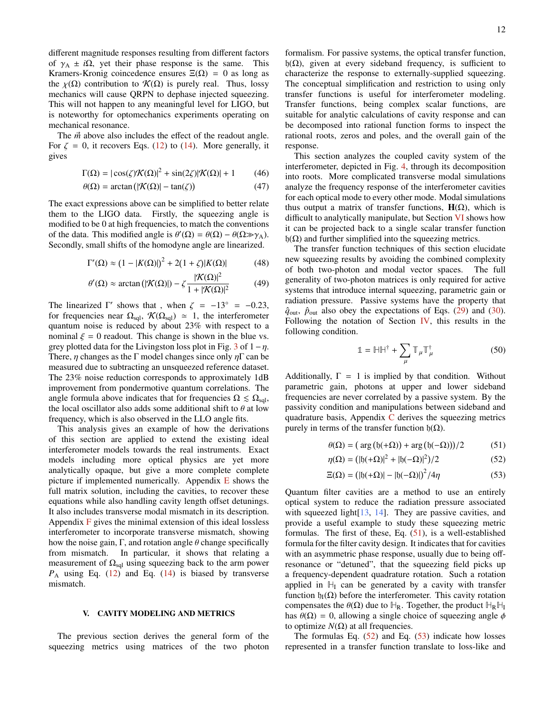different magnitude responses resulting from different factors of  $\gamma_A \pm i\Omega$ , yet their phase response is the same. This Kramers-Kronig coincedence ensures  $\Xi(\Omega) = 0$  as long as the  $\chi(\Omega)$  contribution to  $\mathcal{K}(\Omega)$  is purely real. Thus, lossy mechanics will cause QRPN to dephase injected squeezing. This will not happen to any meaningful level for LIGO, but is noteworthy for optomechanics experiments operating on mechanical resonance.

The  $\vec{m}$  above also includes the effect of the readout angle. For  $\zeta = 0$ , it recovers Eqs. [\(12\)](#page-3-1) to [\(14\)](#page-4-2). More generally, it gives

$$
\Gamma(\Omega) = |\cos(\zeta)\mathcal{K}(\Omega)|^2 + \sin(2\zeta)|\mathcal{K}(\Omega)| + 1 \tag{46}
$$

$$
\theta(\Omega) = \arctan\left(|\mathcal{K}(\Omega)| - \tan(\zeta)\right) \tag{47}
$$

The exact expressions above can be simplified to better relate them to the LIGO data. Firstly, the squeezing angle is modified to be 0 at high frequencies, to match the conventions of the data. This modified angle is  $\theta'(\Omega) = \theta(\Omega) - \theta(\Omega \gg \gamma_A)$ .<br>Secondly small shifts of the homodyne angle are linearized Secondly, small shifts of the homodyne angle are linearized.

$$
\Gamma'(\Omega) \approx (1 - |K(\Omega)|)^2 + 2(1 + \zeta)|K(\Omega)| \tag{48}
$$

$$
\theta'(\Omega) \approx \arctan\left(|\mathcal{K}(\Omega)|\right) - \zeta \frac{|\mathcal{K}(\Omega)|^2}{1 + |\mathcal{K}(\Omega)|^2} \tag{49}
$$

The linearized  $\Gamma'$  shows that, when  $\zeta = -13^\circ = -0.23$ , for frequencies near  $\Omega$ ,  $\mathcal{K}(\Omega)$ ,  $\sim 1$  the interferometer for frequencies near  $\Omega_{\text{sql}}$ ,  $\mathcal{K}(\Omega_{\text{sql}}) \simeq 1$ , the interferometer quantum noise is reduced by about 23% with respect to a nominal  $\xi = 0$  readout. This change is shown in the blue vs. grey plotted data for the Livingston loss plot in Fig. [3](#page-6-0) of  $1-\eta$ . There,  $\eta$  changes as the Γ model changes since only  $\eta \Gamma$  can be measured due to subtracting an unsqueezed reference dataset. The 23% noise reduction corresponds to approximately 1dB improvement from pondermotive quantum correlations. The angle formula above indicates that for frequencies  $\Omega \leq \Omega_{\text{sal}}$ , the local oscillator also adds some additional shift to  $\theta$  at low frequency, which is also observed in the LLO angle fits.

This analysis gives an example of how the derivations of this section are applied to extend the existing ideal interferometer models towards the real instruments. Exact models including more optical physics are yet more analytically opaque, but give a more complete complete picture if implemented numerically. Appendix  $E$  shows the full matrix solution, including the cavities, to recover these equations while also handling cavity length offset detunings. It also includes transverse modal mismatch in its description. Appendix  $\overline{F}$  $\overline{F}$  $\overline{F}$  gives the minimal extension of this ideal lossless interferometer to incorporate transverse mismatch, showing how the noise gain,  $\Gamma$ , and rotation angle  $\theta$  change specifically from mismatch. In particular, it shows that relating a measurement of  $\Omega_{\text{sal}}$  using squeezing back to the arm power *P*<sup>A</sup> using Eq. [\(12\)](#page-3-1) and Eq. [\(14\)](#page-4-2) is biased by transverse mismatch.

### <span id="page-11-0"></span>V. CAVITY MODELING AND METRICS

The previous section derives the general form of the squeezing metrics using matrices of the two photon

formalism. For passive systems, the optical transfer function, h(Ω), given at every sideband frequency, is sufficient to characterize the response to externally-supplied squeezing. The conceptual simplification and restriction to using only transfer functions is useful for interferometer modeling. Transfer functions, being complex scalar functions, are suitable for analytic calculations of cavity response and can be decomposed into rational function forms to inspect the rational roots, zeros and poles, and the overall gain of the response.

This section analyzes the coupled cavity system of the interferometer, depicted in Fig. [4,](#page-8-1) through its decomposition into roots. More complicated transverse modal simulations analyze the frequency response of the interferometer cavities for each optical mode to every other mode. Modal simulations thus output a matrix of transfer functions,  $H(\Omega)$ , which is difficult to analytically manipulate, but Section [VI](#page-13-1) shows how it can be projected back to a single scalar transfer function  $h(\Omega)$  and further simplified into the squeezing metrics.

The transfer function techniques of this section elucidate new squeezing results by avoiding the combined complexity of both two-photon and modal vector spaces. The full generality of two-photon matrices is only required for active systems that introduce internal squeezing, parametric gain or radiation pressure. Passive systems have the property that  $\hat{q}_{\text{out}}$ ,  $\hat{p}_{\text{out}}$  also obey the expectations of Eqs. [\(29\)](#page-9-0) and [\(30\)](#page-9-2). Following the notation of Section  $IV$ , this results in the following condition.

<span id="page-11-4"></span><span id="page-11-1"></span>
$$
\mathbb{1} = \mathbb{H}\mathbb{H}^{\dagger} + \sum_{\mu} \mathbb{T}_{\mu} \mathbb{T}_{\mu}^{\dagger} \tag{50}
$$

Additionally,  $\Gamma = 1$  is implied by that condition. Without parametric gain, photons at upper and lower sideband frequencies are never correlated by a passive system. By the passivity condition and manipulations between sideband and quadrature basis, Appendix  $C$  derives the squeezing metrics purely in terms of the transfer function  $b(\Omega)$ .

$$
\theta(\Omega) = \left(\arg\left(\mathfrak{h}(\alpha + \Omega)\right) + \arg\left(\mathfrak{h}(\alpha - \Omega)\right)\right) / 2\tag{51}
$$

<span id="page-11-3"></span><span id="page-11-2"></span>
$$
\eta(\Omega) = (|b(+\Omega)|^2 + |b(-\Omega)|^2)/2
$$
\n(52)

$$
\Xi(\Omega) = (|b(+\Omega)| - |b(-\Omega)|)^2 / 4\eta \tag{53}
$$

Quantum filter cavities are a method to use an entirely optical system to reduce the radiation pressure associated with squeezed light [\[13,](#page-17-10) [14\]](#page-17-12). They are passive cavities, and provide a useful example to study these squeezing metric formulas. The first of these, Eq.  $(51)$ , is a well-established formula for the filter cavity design. It indicates that for cavities with an asymmetric phase response, usually due to being offresonance or "detuned", that the squeezing field picks up a frequency-dependent quadrature rotation. Such a rotation applied in  $H<sub>I</sub>$  can be generated by a cavity with transfer function  $\mathfrak{h}_{\mathfrak{l}}(\Omega)$  before the interferometer. This cavity rotation compensates the  $\theta(\Omega)$  due to  $\mathbb{H}_R$ . Together, the product  $\mathbb{H}_R \mathbb{H}_I$ has  $\theta(\Omega) = 0$ , allowing a single choice of squeezing angle  $\phi$ to optimize  $N(Ω)$  at all frequencies.

The formulas Eq.  $(52)$  and Eq.  $(53)$  indicate how losses represented in a transfer function translate to loss-like and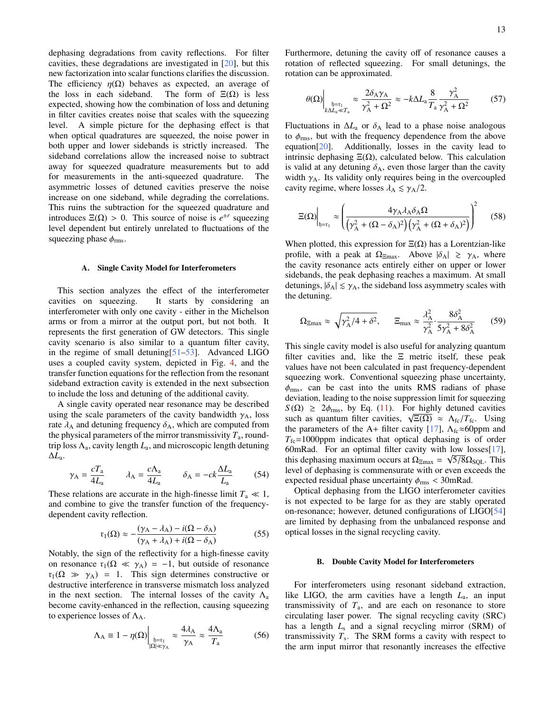dephasing degradations from cavity reflections. For filter cavities, these degradations are investigated in [\[20\]](#page-18-0), but this new factorization into scalar functions clarifies the discussion. The efficiency  $\eta(\Omega)$  behaves as expected, an average of the loss in each sideband. The form of  $\Xi(\Omega)$  is less the loss in each sideband. expected, showing how the combination of loss and detuning in filter cavities creates noise that scales with the squeezing level. A simple picture for the dephasing effect is that when optical quadratures are squeezed, the noise power in both upper and lower sidebands is strictly increased. The sideband correlations allow the increased noise to subtract away for squeezed quadrature measurements but to add for measurements in the anti-squeezed quadrature. The asymmetric losses of detuned cavities preserve the noise increase on one sideband, while degrading the correlations. This ruins the subtraction for the squeezed quadrature and introduces  $E(\Omega) > 0$ . This source of noise is  $e^{\pm r}$  squeezing<br>level dependent but entirely unrelated to fluctuations of the level dependent but entirely unrelated to fluctuations of the squeezing phase  $\phi_{\rm rms}$ .

### <span id="page-12-0"></span>A. Single Cavity Model for Interferometers

This section analyzes the effect of the interferometer cavities on squeezing. It starts by considering an interferometer with only one cavity - either in the Michelson arms or from a mirror at the output port, but not both. It represents the first generation of GW detectors. This single cavity scenario is also similar to a quantum filter cavity, in the regime of small detuning  $[51-53]$  $[51-53]$ . Advanced LIGO uses a coupled cavity system, depicted in Fig. [4,](#page-8-1) and the transfer function equations for the reflection from the resonant sideband extraction cavity is extended in the next subsection to include the loss and detuning of the additional cavity.

A single cavity operated near resonance may be described using the scale parameters of the cavity bandwidth  $\gamma_A$ , loss rate  $\lambda_A$  and detuning frequency  $\delta_A$ , which are computed from the physical parameters of the mirror transmissivity  $T_a$ , roundtrip loss  $\Lambda_a$ , cavity length  $L_a$ , and microscopic length detuning ∆*L*a.

$$
\gamma_{\rm A} = \frac{cT_{\rm a}}{4L_{\rm a}} \qquad \lambda_{\rm A} = \frac{c\Lambda_{\rm a}}{4L_{\rm a}} \qquad \delta_{\rm A} = -ck\frac{\Delta L_{\rm a}}{L_{\rm a}} \qquad (54)
$$

These relations are accurate in the high-finesse limit  $T_a \ll 1$ , and combine to give the transfer function of the frequencydependent cavity reflection.

$$
r_1(\Omega) \approx -\frac{(\gamma_A - \lambda_A) - i(\Omega - \delta_A)}{(\gamma_A + \lambda_A) + i(\Omega - \delta_A)}
$$
(55)

 $(\gamma_A + \lambda_A) + i(\Omega - \delta_A)$ <br>Notably, the sign of the reflectivity for a high-finesse cavity on resonance  $r_1(\Omega \ll \gamma_A) = -1$ , but outside of resonance  $r_1(\Omega \gg \gamma_A) = 1$ . This sign determines constructive or destructive interference in transverse mismatch loss analyzed in the next section. The internal losses of the cavity  $\Lambda_a$ become cavity-enhanced in the reflection, causing squeezing to experience losses of  $\Lambda_A$ .

$$
\Lambda_{\rm A} \equiv 1 - \eta(\Omega) \Big|_{\substack{\mathfrak{h} = \mathfrak{r}_1 \\ |\Omega| \ll \gamma_{\rm A}}} \approx \frac{4\lambda_{\rm A}}{\gamma_{\rm A}} \approx \frac{4\Lambda_{\rm a}}{T_{\rm a}} \tag{56}
$$

4Λ<sup>a</sup>

Furthermore, detuning the cavity off of resonance causes a rotation of reflected squeezing. For small detunings, the rotation can be approximated.

$$
\theta(\Omega)\bigg|_{k\Delta L_a \ll T_a} \approx \frac{2\delta_A \gamma_A}{\gamma_A^2 + \Omega^2} \approx -k\Delta L_a \frac{8}{T_a} \frac{\gamma_A^2}{\gamma_A^2 + \Omega^2} \tag{57}
$$

Fluctuations in  $\Delta L_a$  or  $\delta_A$  lead to a phase noise analogous to  $\phi_{\rm rms}$ , but with the frequency dependence from the above equation[\[20\]](#page-18-0). Additionally, losses in the cavity lead to intrinsic dephasing  $E(\Omega)$ , calculated below. This calculation is valid at any detuning  $\delta_A$ , even those larger than the cavity width  $\gamma_A$ . Its validity only requires being in the overcoupled cavity regime, where losses  $\lambda_A \le \gamma_A/2$ .

$$
\Xi(\Omega)\Big|_{b=r_1} \approx \left(\frac{4\gamma_A \lambda_A \delta_A \Omega}{\left(\gamma_A^2 + (\Omega - \delta_A)^2\right) \left(\gamma_A^2 + (\Omega + \delta_A)^2\right)}\right)^2 \tag{58}
$$

When plotted, this expression for  $\Xi(\Omega)$  has a Lorentzian-like profile, with a peak at  $\Omega_{\text{Emax}}$ . Above  $|\delta_A| \ge \gamma_A$ , where the cavity resonance acts entirely either on upper or lower sidebands, the peak dephasing reaches a maximum. At small detunings,  $|\delta_A| \le \gamma_A$ , the sideband loss asymmetry scales with the detuning.

<span id="page-12-3"></span>
$$
\Omega_{\text{Emax}} \approx \sqrt{\gamma_A^2/4 + \delta^2}, \qquad \Xi_{\text{max}} \approx \frac{\lambda_A^2}{\gamma_A^2} \cdot \frac{8\delta_A^2}{5\gamma_A^2 + 8\delta_A^2} \qquad (59)
$$

This single cavity model is also useful for analyzing quantum filter cavities and, like the  $E$  metric itself, these peak values have not been calculated in past frequency-dependent squeezing work. Conventional squeezing phase uncertainty,  $\phi_{\rm rms}$ , can be cast into the units RMS radians of phase deviation, leading to the noise suppression limit for squeezing  $S(\Omega) \geq 2\phi_{\text{rms}}$ , by Eq. [\(11\)](#page-3-2). For highly detuned cavities  $S(S_2) \geq Z\varphi_{\text{rms}}$ , by Eq. (11). For mighty detuned cavities<br>such as quantum filter cavities,  $\sqrt{\Xi(\Omega)} \approx \Lambda_{\text{fc}}/T_{\text{fc}}$ . Using<br>the parameters of the A+ filter cavity [17]  $\Lambda_{\text{fc}} \approx 60$ ppm and the parameters of the A+ filter cavity [\[17\]](#page-17-11),  $\Lambda_{\text{fc}} \approx 60$ ppm and  $T_{\text{fc}}$ =1000ppm indicates that optical dephasing is of order 60mRad. For an optimal filter cavity with low losses[\[17\]](#page-17-11), this dephasing maximum occurs at  $\Omega_{\text{Emax}} = \sqrt{5/8} \Omega_{\text{SQL}}$ . This level of dephasing is commensurate with or even exceeds the level of dephasing is commensurate with or even exceeds the expected residual phase uncertainty  $\phi_{\rm rms}$  < 30mRad.

<span id="page-12-2"></span><span id="page-12-1"></span>Optical dephasing from the LIGO interferometer cavities is not expected to be large for as they are stably operated on-resonance; however, detuned configurations of LIGO[\[54\]](#page-19-5) are limited by dephasing from the unbalanced response and optical losses in the signal recycling cavity.

#### B. Double Cavity Model for Interferometers

For interferometers using resonant sideband extraction, like LIGO, the arm cavities have a length *L*a, an input transmissivity of  $T_a$ , and are each on resonance to store circulating laser power. The signal recycling cavity (SRC) has a length *L*<sup>s</sup> and a signal recycling mirror (SRM) of transmissivity *T*<sup>s</sup> . The SRM forms a cavity with respect to the arm input mirror that resonantly increases the effective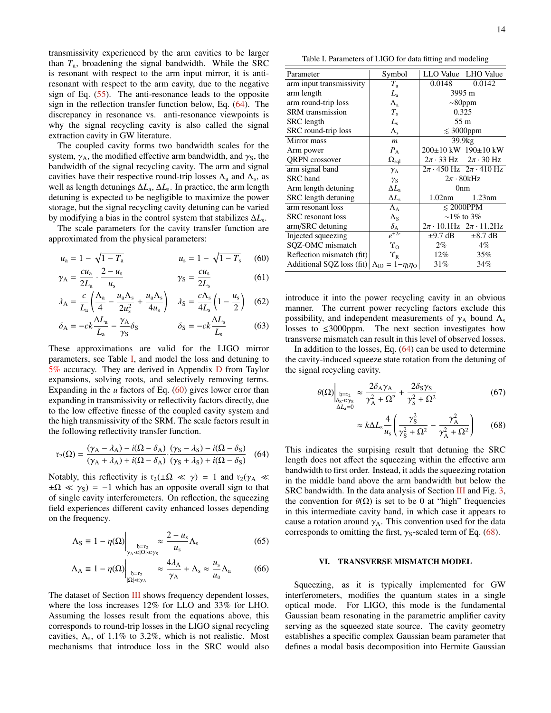transmissivity experienced by the arm cavities to be larger than *T*a, broadening the signal bandwidth. While the SRC is resonant with respect to the arm input mirror, it is antiresonant with respect to the arm cavity, due to the negative sign of Eq. [\(55\)](#page-12-1). The anti-resonance leads to the opposite sign in the reflection transfer function below, Eq. [\(64\)](#page-13-2). The discrepancy in resonance vs. anti-resonance viewpoints is why the signal recycling cavity is also called the signal extraction cavity in GW literature.

The coupled cavity forms two bandwidth scales for the system,  $\gamma_A$ , the modified effective arm bandwidth, and  $\gamma_S$ , the bandwidth of the signal recycling cavity. The arm and signal cavities have their respective round-trip losses  $\Lambda$ <sub>a</sub> and  $\Lambda$ <sub>s</sub>, as well as length detunings ∆*L*a, ∆*L*<sup>s</sup> . In practice, the arm length detuning is expected to be negligible to maximize the power storage, but the signal recycling cavity detuning can be varied by modifying a bias in the control system that stabilizes ∆*L*<sup>s</sup> .

The scale parameters for the cavity transfer function are approximated from the physical parameters:

$$
u_{\rm a} = 1 - \sqrt{1 - T_{\rm a}}
$$
  $u_{\rm s} = 1 - \sqrt{1 - T_{\rm s}}$  (60)

$$
\gamma_{A} = \frac{cu_{a}}{2L_{a}} \cdot \frac{2-u_{s}}{u_{s}} \qquad \gamma_{S} = \frac{cu_{s}}{2L_{s}} \qquad (61)
$$

$$
\lambda_{\rm A} = \frac{c}{L_{\rm a}} \left( \frac{\Lambda_{\rm a}}{4} - \frac{u_{\rm a} \Lambda_{\rm s}}{2 u_{\rm s}^2} + \frac{u_{\rm a} \Lambda_{\rm s}}{4 u_{\rm s}} \right) \quad \lambda_{\rm S} = \frac{c \Lambda_{\rm s}}{4 L_{\rm s}} \left( 1 - \frac{u_{\rm s}}{2} \right) \quad (62)
$$

$$
\delta_{A} = -ck \frac{\Delta L_{a}}{L_{a}} - \frac{\gamma_{A}}{\gamma_{S}} \delta_{S} \qquad \delta_{S} = -ck \frac{\Delta L_{s}}{L_{s}} \qquad (63)
$$

These approximations are valid for the LIGO mirror parameters, see Table [I,](#page-13-0) and model the loss and detuning to 5% accuracy. They are derived in Appendix [D](#page-20-0) from Taylor expansions, solving roots, and selectively removing terms. Expanding in the  $u$  factors of Eq.  $(60)$  gives lower error than expanding in transmissivity or reflectivity factors directly, due to the low effective finesse of the coupled cavity system and the high transmissivity of the SRM. The scale factors result in the following reflectivity transfer function.

$$
\mathbf{r}_2(\Omega) = \frac{(\gamma_A - \lambda_A) - i(\Omega - \delta_A)}{(\gamma_A + \lambda_A) + i(\Omega - \delta_A)} \cdot \frac{(\gamma_S - \lambda_S) - i(\Omega - \delta_S)}{(\gamma_S + \lambda_S) + i(\Omega - \delta_S)} \tag{64}
$$

Notably, this reflectivity is  $r_2(\pm \Omega \ll \gamma) = 1$  and  $r_2(\gamma_A \ll \gamma)$  $\pm \Omega \ll \gamma_s$ ) = −1 which has an opposite overall sign to that of single cavity interferometers. On reflection, the squeezing field experiences different cavity enhanced losses depending on the frequency.

$$
\Lambda_{\rm S} \equiv 1 - \eta(\Omega) \Big|_{\substack{b = v_2 \\ \gamma_{\rm A} \ll |\Omega| \ll \gamma_{\rm S}}} \approx \frac{2 - u_{\rm s}}{u_{\rm s}} \Lambda_{\rm s} \tag{65}
$$

$$
\Lambda_{A} \equiv 1 - \eta(\Omega) \Big|_{\substack{\mathfrak{h} = \mathfrak{r}_{2} \\ |\Omega| \ll \gamma_{A}}} \approx \frac{4\lambda_{A}}{\gamma_{A}} + \Lambda_{s} \approx \frac{u_{s}}{u_{a}} \Lambda_{a} \tag{66}
$$

The dataset of Section [III](#page-4-1) shows frequency dependent losses, where the loss increases 12% for LLO and 33% for LHO. Assuming the losses result from the equations above, this corresponds to round-trip losses in the LIGO signal recycling cavities,  $\Lambda_s$ , of 1.1% to 3.2%, which is not realistic. Most cavities,  $\Lambda_s$ , of 1.1% to 3.2%, which is not realistic. Most mechanisms that introduce loss in the SRC would also

<span id="page-13-0"></span>Table I. Parameters of LIGO for data fitting and modeling

| Parameter                                                                    | Symbol                        |                     | LLO Value LHO Value                       |
|------------------------------------------------------------------------------|-------------------------------|---------------------|-------------------------------------------|
| arm input transmissivity                                                     | $T_{\rm a}$                   | 0.0148              | 0.0142                                    |
| arm length                                                                   | $L_{\rm a}$                   | 3995 m              |                                           |
| arm round-trip loss                                                          | $\Lambda_{\rm a}$             | $\sim$ 80ppm        |                                           |
| <b>SRM</b> transmission                                                      | $T_{\rm s}$                   | 0.325               |                                           |
| SRC length                                                                   | L,                            | $55 \text{ m}$      |                                           |
| SRC round-trip loss                                                          | $\Lambda_{\rm s}$             | $\leq 3000$ ppm     |                                           |
| Mirror mass                                                                  | $\boldsymbol{m}$              | 39.9 <sub>kg</sub>  |                                           |
| Arm power                                                                    | $P_{\Delta}$                  |                     | 200±10 kW 190±10 kW                       |
| QRPN crossover                                                               | $\Omega_{\text{sql}}$         |                     | $2\pi \cdot 33$ Hz $2\pi \cdot 30$ Hz     |
| arm signal band                                                              | $\gamma_{\rm A}$              |                     | $2\pi \cdot 450$ Hz $2\pi \cdot 410$ Hz   |
| SRC band                                                                     | $\gamma_{\rm S}$              | $2\pi \cdot 80$ kHz |                                           |
| Arm length detuning                                                          | $\Delta L_{\rm a}$            | 0 <sub>nm</sub>     |                                           |
| SRC length detuning                                                          | $\Delta L_{\rm s}$            | 1.02nm              | 1.23nm                                    |
| arm resonant loss                                                            | $\Lambda_{A}$                 | $\leq 2000$ PPM     |                                           |
| <b>SRC</b> resonant loss                                                     | $\Lambda_{\rm S}$             | $\sim$ 1\% to 3\%   |                                           |
| arm/SRC detuning                                                             | $\delta$ <sup>A</sup>         |                     | $2\pi \cdot 10.1$ Hz $2\pi \cdot 11.2$ Hz |
| Injected squeezing                                                           | $e^{\pm 2r}$                  | $\pm$ 9.7 dB        | $\pm 8.7$ dB                              |
| SQZ-OMC mismatch                                                             | $\Upsilon_{\Omega}$           | $2\%$               | $4\%$                                     |
| Reflection mismatch (fit)                                                    | $\Upsilon_{\textrm{\tiny R}}$ | $12\%$              | 35%                                       |
| Additional SQZ loss (fit) $\Lambda_{\text{IO}} = 1 - \eta_1 \eta_{\text{O}}$ |                               | 31%                 | 34%                                       |
|                                                                              |                               |                     |                                           |

<span id="page-13-6"></span><span id="page-13-5"></span><span id="page-13-3"></span>introduce it into the power recycling cavity in an obvious manner. The current power recycling factors exclude this possibility, and independent measurements of  $\gamma_A$  bound  $\Lambda_s$ losses to ≤3000ppm. The next section investigates how transverse mismatch can result in this level of observed losses.

In addition to the losses, Eq. [\(64\)](#page-13-2) can be used to determine the cavity-induced squeeze state rotation from the detuning of the signal recycling cavity.

$$
\theta(\Omega)\Big|_{\substack{b=x_2\\ \delta_S \ll \gamma_S\\ \Delta L_a=0}} \approx \frac{2\delta_A \gamma_A}{\gamma_A^2 + \Omega^2} + \frac{2\delta_S \gamma_S}{\gamma_S^2 + \Omega^2} \tag{67}
$$

<span id="page-13-4"></span>
$$
\approx k \Delta L_{\rm s} \frac{4}{u_{\rm s}} \left( \frac{\gamma_{\rm S}^2}{\gamma_{\rm S}^2 + \Omega^2} - \frac{\gamma_{\rm A}^2}{\gamma_{\rm A}^2 + \Omega^2} \right) \tag{68}
$$

<span id="page-13-2"></span>This indicates the surpising result that detuning the SRC length does not affect the squeezing within the effective arm bandwidth to first order. Instead, it adds the squeezing rotation in the middle band above the arm bandwidth but below the SRC bandwidth. In the data analysis of Section [III](#page-4-1) and Fig. [3,](#page-6-0) the convention for  $\theta(\Omega)$  is set to be 0 at "high" frequencies in this intermediate cavity band, in which case it appears to cause a rotation around  $\gamma_A$ . This convention used for the data corresponds to omitting the first,  $\gamma_s$ -scaled term of Eq. [\(68\)](#page-13-4).

## <span id="page-13-1"></span>VI. TRANSVERSE MISMATCH MODEL

Squeezing, as it is typically implemented for GW interferometers, modifies the quantum states in a single optical mode. For LIGO, this mode is the fundamental Gaussian beam resonating in the parametric amplifier cavity serving as the squeezed state source. The cavity geometry establishes a specific complex Gaussian beam parameter that defines a modal basis decomposition into Hermite Gaussian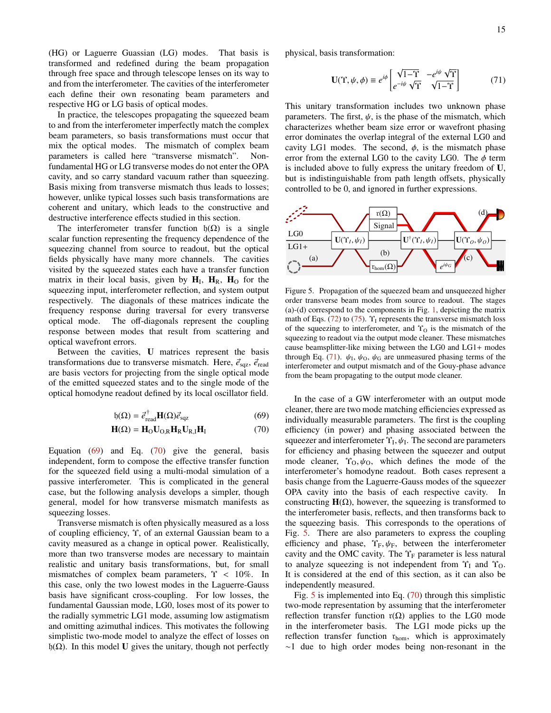(HG) or Laguerre Guassian (LG) modes. That basis is transformed and redefined during the beam propagation through free space and through telescope lenses on its way to and from the interferometer. The cavities of the interferometer each define their own resonating beam parameters and respective HG or LG basis of optical modes.

In practice, the telescopes propagating the squeezed beam to and from the interferometer imperfectly match the complex beam parameters, so basis transformations must occur that mix the optical modes. The mismatch of complex beam parameters is called here "transverse mismatch". Nonfundamental HG or LG transverse modes do not enter the OPA cavity, and so carry standard vacuum rather than squeezing. Basis mixing from transverse mismatch thus leads to losses; however, unlike typical losses such basis transformations are coherent and unitary, which leads to the constructive and destructive interference effects studied in this section.

The interferometer transfer function  $h(\Omega)$  is a single scalar function representing the frequency dependence of the squeezing channel from source to readout, but the optical fields physically have many more channels. The cavities visited by the squeezed states each have a transfer function matrix in their local basis, given by  $H_I$ ,  $H_R$ ,  $H_O$  for the squeezing input, interferometer reflection, and system output respectively. The diagonals of these matrices indicate the frequency response during traversal for every transverse optical mode. The off-diagonals represent the coupling response between modes that result from scattering and optical wavefront errors.

Between the cavities, U matrices represent the basis transformations due to transverse mismatch. Here,  $\vec{e}_{\text{sqz}}$ ,  $\vec{e}_{\text{read}}$ are basis vectors for projecting from the single optical mode of the emitted squeezed states and to the single mode of the optical homodyne readout defined by its local oscillator field.

$$
f_1(\Omega) = \vec{e}_{\text{read}}^{\dagger} \mathbf{H}(\Omega) \vec{e}_{\text{sqz}}
$$
(69)

$$
\mathbf{H}(\Omega) = \mathbf{H}_{\text{O}} \mathbf{U}_{\text{O,R}} \mathbf{H}_{\text{R}} \mathbf{U}_{\text{R,I}} \mathbf{H}_{\text{I}} \tag{70}
$$

Equation  $(69)$  and Eq.  $(70)$  give the general, basis independent, form to compose the effective transfer function for the squeezed field using a multi-modal simulation of a passive interferometer. This is complicated in the general case, but the following analysis develops a simpler, though general, model for how transverse mismatch manifests as squeezing losses.

Transverse mismatch is often physically measured as a loss of coupling efficiency, Υ, of an external Gaussian beam to a cavity measured as a change in optical power. Realistically, more than two transverse modes are necessary to maintain realistic and unitary basis transformations, but, for small mismatches of complex beam parameters,  $\Upsilon$  < 10%. In this case, only the two lowest modes in the Laguerre-Gauss basis have significant cross-coupling. For low losses, the fundamental Gaussian mode, LG0, loses most of its power to the radially symmetric LG1 mode, assuming low astigmatism and omitting azimuthal indices. This motivates the following simplistic two-mode model to analyze the effect of losses on h(Ω). In this model U gives the unitary, though not perfectly

physical, basis transformation:

<span id="page-14-2"></span>
$$
\mathbf{U}(\Upsilon, \psi, \phi) \equiv e^{i\phi} \begin{bmatrix} \sqrt{1-\Upsilon} & -e^{i\psi} \sqrt{\Upsilon} \\ e^{-i\psi} \sqrt{\Upsilon} & \sqrt{1-\Upsilon} \end{bmatrix}
$$
(71)

This unitary transformation includes two unknown phase parameters. The first,  $\psi$ , is the phase of the mismatch, which characterizes whether beam size error or wavefront phasing error dominates the overlap integral of the external LG0 and cavity LG1 modes. The second,  $\phi$ , is the mismatch phase error from the external LG0 to the cavity LG0. The  $\phi$  term is included above to fully express the unitary freedom of U, but is indistinguishable from path length offsets, physically controlled to be 0, and ignored in further expressions.



<span id="page-14-3"></span>Figure 5. Propagation of the squeezed beam and unsqueezed higher order transverse beam modes from source to readout. The stages (a)-(d) correspond to the components in Fig. [1,](#page-4-4) depicting the matrix math of Eqs. [\(72\)](#page-15-1) to [\(75\)](#page-15-2).  $\Upsilon_I$  represents the transverse mismatch loss of the squeezing to interferometer, and  $\Upsilon_0$  is the mismatch of the squeezing to readout via the output mode cleaner. These mismatches cause beamsplitter-like mixing between the LG0 and LG1+ modes through Eq. [\(71\)](#page-14-2).  $\psi_1$ ,  $\psi_0$ ,  $\psi_0$  are unmeasured phasing terms of the interferometer and output mismatch and of the Gouy-phase advance interferometer and output mismatch and of the Gouy-phase advance from the beam propagating to the output mode cleaner.

<span id="page-14-1"></span><span id="page-14-0"></span>In the case of a GW interferometer with an output mode cleaner, there are two mode matching efficiencies expressed as individually measurable parameters. The first is the coupling efficiency (in power) and phasing associated between the squeezer and interferometer  $\Upsilon_L$ ,  $\psi_L$ . The second are parameters for efficiency and phasing between the squeezer and output for efficiency and phasing between the squeezer and output mode cleaner,  $\Upsilon_0$ ,  $\psi_0$ , which defines the mode of the interferometer's homodyne readout. Both cases represent a basis change from the Laguerre-Gauss modes of the squeezer OPA cavity into the basis of each respective cavity. In constructing  $H(\Omega)$ , however, the squeezing is transformed to the interferometer basis, reflects, and then transforms back to the squeezing basis. This corresponds to the operations of Fig. [5.](#page-14-3) There are also parameters to express the coupling efficiency and phase,  $\Upsilon_F$ ,  $\psi_F$ , between the interferometer cavity and the OMC cavity. The  $\Upsilon_F$  parameter is less natural to analyze squeezing is not independent from  $\Upsilon_I$  and  $\Upsilon_O$ . It is considered at the end of this section, as it can also be independently measured.

Fig. [5](#page-14-3) is implemented into Eq. [\(70\)](#page-14-1) through this simplistic two-mode representation by assuming that the interferometer reflection transfer function  $r(Ω)$  applies to the LG0 mode in the interferometer basis. The LG1 mode picks up the reflection transfer function  $r_{\text{hom}}$ , which is approximately ∼1 due to high order modes being non-resonant in the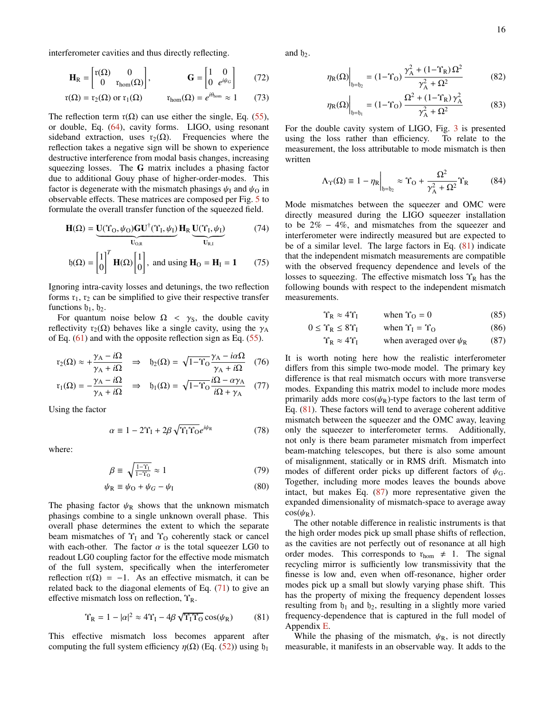interferometer cavities and thus directly reflecting.

$$
\mathbf{H}_{\rm R} = \begin{bmatrix} r(\Omega) & 0 \\ 0 & r_{\rm hom}(\Omega) \end{bmatrix}, \qquad \qquad \mathbf{G} = \begin{bmatrix} 1 & 0 \\ 0 & e^{i\psi_G} \end{bmatrix} \tag{72}
$$

$$
r(\Omega) = r_2(\Omega)
$$
 or  $r_1(\Omega)$   $r_{\text{hom}}(\Omega) = e^{i\theta_{\text{hom}}} \approx 1$  (73)

The reflection term  $r(\Omega)$  can use either the single, Eq. [\(55\)](#page-12-1), or double, Eq. [\(64\)](#page-13-2), cavity forms. LIGO, using resonant sideband extraction, uses  $r_2(\Omega)$ . Frequencies where the reflection takes a negative sign will be shown to experience destructive interference from modal basis changes, increasing squeezing losses. The G matrix includes a phasing factor due to additional Gouy phase of higher-order-modes. This factor is degenerate with the mismatch phasings  $\psi_I$  and  $\psi_O$  in observable effects. These matrices are composed per Fig. [5](#page-14-3) to formulate the overall transfer function of the squeezed field.

$$
\mathbf{H}(\Omega) = \underbrace{\mathbf{U}(\Upsilon_{\Omega}, \psi_{\Omega})\mathbf{G}\mathbf{U}^{\dagger}(\Upsilon_{\text{I}}, \psi_{\text{I}})}_{\mathbf{U}_{\text{O,R}}} \mathbf{H}_{\text{R}} \underbrace{\mathbf{U}(\Upsilon_{\text{I}}, \psi_{\text{I}})}_{\mathbf{U}_{\text{R,I}}} \tag{74}
$$

$$
\mathfrak{h}(\Omega) = \begin{bmatrix} 1 \\ 0 \end{bmatrix}^T \mathbf{H}(\Omega) \begin{bmatrix} 1 \\ 0 \end{bmatrix}, \text{ and using } \mathbf{H}_{\Omega} = \mathbf{H}_{\text{I}} = \mathbf{1} \qquad (75)
$$

Ignoring intra-cavity losses and detunings, the two reflection forms  $r_1$ ,  $r_2$  can be simplified to give their respective transfer functions  $\mathfrak{h}_1, \mathfrak{h}_2$ .

For quantum noise below  $\Omega \leq \gamma_{\rm S}$ , the double cavity reflectivity r<sub>2</sub>( $\Omega$ ) behaves like a single cavity, using the  $\gamma_A$ of Eq.  $(61)$  and with the opposite reflection sign as Eq.  $(55)$ .

$$
r_2(\Omega) \approx +\frac{\gamma_A - i\Omega}{\gamma_A + i\Omega} \quad \Rightarrow \quad f_2(\Omega) = \sqrt{1 - \Upsilon_0} \frac{\gamma_A - i\alpha\Omega}{\gamma_A + i\Omega} \quad (76)
$$

$$
\mathbf{r}_1(\Omega) = -\frac{\gamma_A - i\Omega}{\gamma_A + i\Omega} \quad \Rightarrow \quad \mathbf{h}_1(\Omega) = \sqrt{1 - \Upsilon_O} \frac{i\Omega - \alpha \gamma_A}{i\Omega + \gamma_A} \quad (77)
$$

Using the factor

$$
\alpha \equiv 1 - 2\Upsilon_{\rm I} + 2\beta \sqrt{\Upsilon_{\rm I} \Upsilon_{\rm O}} e^{i\psi_{\rm R}} \tag{78}
$$

where:

$$
\beta \equiv \sqrt{\frac{1 - \Upsilon_1}{1 - \Upsilon_0}} \approx 1 \tag{79}
$$

$$
\psi_{\rm R} \equiv \psi_{\rm O} + \psi_G - \psi_{\rm I} \tag{80}
$$

The phasing factor  $\psi_R$  shows that the unknown mismatch phasings combine to a single unknown overall phase. This overall phase determines the extent to which the separate beam mismatches of  $\Upsilon_I$  and  $\Upsilon_O$  coherently stack or cancel with each-other. The factor  $\alpha$  is the total squeezer LG0 to readout LG0 coupling factor for the effective mode mismatch of the full system, specifically when the interferometer reflection  $r(\Omega) = -1$ . As an effective mismatch, it can be related back to the diagonal elements of Eq. [\(71\)](#page-14-2) to give an effective mismatch loss on reflection,  $\Upsilon_R$ .

$$
\Upsilon_{\rm R} = 1 - |\alpha|^2 \approx 4\Upsilon_{\rm I} - 4\beta \sqrt{\Upsilon_{\rm I} \Upsilon_{\rm O}} \cos(\psi_{\rm R}) \tag{81}
$$

This effective mismatch loss becomes apparent after computing the full system efficiency  $\eta(\Omega)$  (Eq. [\(52\)](#page-11-2)) using  $\mathfrak{h}_1$ 

<span id="page-15-1"></span>and  $\mathfrak{h}_2$ .

<span id="page-15-6"></span>
$$
\eta_{R}(\Omega)\Big|_{\mathfrak{h}=\mathfrak{h}_{2}} = (1 - \Upsilon_{\Omega}) \frac{\gamma_{A}^{2} + (1 - \Upsilon_{R}) \Omega^{2}}{\gamma_{A}^{2} + \Omega^{2}}
$$
(82)

<span id="page-15-7"></span>
$$
\eta_{R}(\Omega)\Big|_{\mathfrak{h}=\mathfrak{h}_{1}} = (1 - \Upsilon_{O}) \frac{\Omega^{2} + (1 - \Upsilon_{R}) \gamma_{A}^{2}}{\gamma_{A}^{2} + \Omega^{2}}
$$
(83)

For the double cavity system of LIGO, Fig. [3](#page-6-0) is presented using the loss rather than efficiency. To relate to the measurement, the loss attributable to mode mismatch is then written

<span id="page-15-0"></span>
$$
\Lambda_{\Upsilon}(\Omega) \equiv 1 - \eta_{\mathcal{R}} \Big|_{\mathfrak{h} = \mathfrak{h}_{2}} \approx \Upsilon_{\mathcal{O}} + \frac{\Omega^{2}}{\gamma_{\mathcal{A}}^{2} + \Omega^{2}} \Upsilon_{\mathcal{R}} \tag{84}
$$

<span id="page-15-2"></span>Mode mismatches between the squeezer and OMC were directly measured during the LIGO squeezer installation to be  $2\% - 4\%$ , and mismatches from the squeezer and interferometer were indirectly measured but are expected to be of a similar level. The large factors in Eq. [\(81\)](#page-15-3) indicate that the independent mismatch measurements are compatible with the observed frequency dependence and levels of the losses to squeezing. The effective mismatch loss  $\Upsilon_R$  has the following bounds with respect to the independent mismatch measurements.

<span id="page-15-4"></span>
$$
\Upsilon_{\rm R} \approx 4\Upsilon_{\rm I} \qquad \text{when } \Upsilon_{\rm O} = 0 \tag{85}
$$

$$
0 \leq \Upsilon_{\text{R}} \leq 8\Upsilon_{\text{I}} \qquad \text{when } \Upsilon_{\text{I}} = \Upsilon_{\text{O}} \tag{86}
$$

$$
\Upsilon_R \approx 4\Upsilon_I
$$
 when averaged over  $\psi_R$  (87)

<span id="page-15-5"></span>It is worth noting here how the realistic interferometer differs from this simple two-mode model. The primary key difference is that real mismatch occurs with more transverse modes. Expanding this matrix model to include more modes primarily adds more  $cos(\psi_R)$ -type factors to the last term of Eq. [\(81\)](#page-15-3). These factors will tend to average coherent additive mismatch between the squeezer and the OMC away, leaving only the squeezer to interferometer terms. Additionally, not only is there beam parameter mismatch from imperfect beam-matching telescopes, but there is also some amount of misalignment, statically or in RMS drift. Mismatch into modes of different order picks up different factors of  $\psi_{\text{G}}$ . Together, including more modes leaves the bounds above intact, but makes Eq. [\(87\)](#page-15-4) more representative given the expanded dimensionality of mismatch-space to average away  $\cos(\psi_R)$ .

The other notable difference in realistic instruments is that the high order modes pick up small phase shifts of reflection, as the cavities are not perfectly out of resonance at all high order modes. This corresponds to  $r_{\text{hom}} \neq 1$ . The signal recycling mirror is sufficiently low transmissivity that the finesse is low and, even when off-resonance, higher order modes pick up a small but slowly varying phase shift. This has the property of mixing the frequency dependent losses resulting from  $b_1$  and  $b_2$ , resulting in a slightly more varied frequency-dependence that is captured in the full model of Appendix [E.](#page-21-0)

<span id="page-15-3"></span>While the phasing of the mismatch,  $\psi_R$ , is not directly measurable, it manifests in an observable way. It adds to the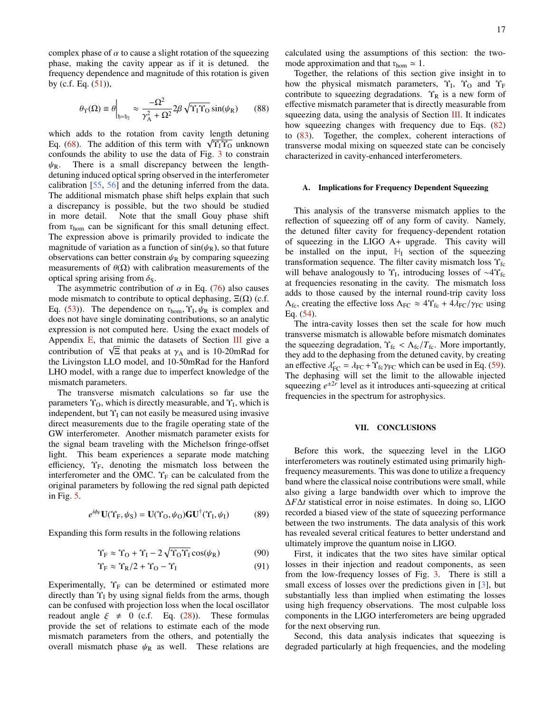complex phase of  $\alpha$  to cause a slight rotation of the squeezing phase, making the cavity appear as if it is detuned. the frequency dependence and magnitude of this rotation is given by (c.f. Eq. [\(51\)](#page-11-1)),

$$
\theta_{\Upsilon}(\Omega) \equiv \theta \Big|_{\mathfrak{h} = \mathfrak{h}_2} \approx \frac{-\Omega^2}{\gamma_A^2 + \Omega^2} 2\beta \sqrt{\Upsilon_{\mathfrak{f}} \Upsilon_{\mathfrak{O}}} \sin(\psi_{\mathfrak{R}}) \qquad (88)
$$

which adds to the rotation from cavity length detuning which adds to the rotation from cavity length detuning Eq. [\(68\)](#page-13-4). The addition of this term with  $\sqrt{\Upsilon_1 \Upsilon_0}$  unknown confounds the ability to use the data of Fig. [3](#page-6-0) to constrain  $\psi_R$ . There is a small discrepancy between the lengthdetuning induced optical spring observed in the interferometer calibration [\[55,](#page-19-6) [56\]](#page-19-7) and the detuning inferred from the data. The additional mismatch phase shift helps explain that such a discrepancy is possible, but the two should be studied in more detail. Note that the small Gouy phase shift from  $r_{\text{hom}}$  can be significant for this small detuning effect. The expression above is primarily provided to indicate the magnitude of variation as a function of  $sin(\psi_R)$ , so that future observations can better constrain  $\psi_R$  by comparing squeezing measurements of  $\theta(\Omega)$  with calibration measurements of the optical spring arising from  $\delta$ <sub>S</sub>.

The asymmetric contribution of  $\alpha$  in Eq. [\(76\)](#page-15-5) also causes mode mismatch to contribute to optical dephasing,  $\Xi(\Omega)$  (c.f. Eq. [\(53\)](#page-11-3)). The dependence on  $r_{\text{hom}}$ ,  $\Upsilon_L$ ,  $\psi_R$  is complex and does not have single dominating contributions, so an analytic does not have single dominating contributions, so an analytic expression is not computed here. Using the exact models of Appendix  $E$ , that mimic the datasets of Section [III](#page-4-1) give a Appendix E, that mimic the datasets of section III give a<br>contribution of  $\sqrt{\Xi}$  that peaks at  $\gamma_A$  and is 10-20mRad for<br>the Livingston LLO model, and 10-50mRad for the Hanford the Livingston LLO model, and 10-50mRad for the Hanford LHO model, with a range due to imperfect knowledge of the mismatch parameters.

The transverse mismatch calculations so far use the parameters  $\Upsilon_0$ , which is directly measurable, and  $\Upsilon_I$ , which is independent, but  $\Upsilon_I$  can not easily be measured using invasive direct measurements due to the fragile operating state of the GW interferometer. Another mismatch parameter exists for the signal beam traveling with the Michelson fringe-offset light. This beam experiences a separate mode matching efficiency,  $\Upsilon_F$ , denoting the mismatch loss between the interferometer and the OMC.  $\Upsilon_F$  can be calculated from the original parameters by following the red signal path depicted in Fig. [5.](#page-14-3)

$$
e^{i\phi_{\rm F}}\mathbf{U}(\Upsilon_{\rm F},\psi_{\rm S})=\mathbf{U}(\Upsilon_{\rm O},\psi_{\rm O})\mathbf{G}\mathbf{U}^{\dagger}(\Upsilon_{\rm I},\psi_{\rm I})\tag{89}
$$

Expanding this form results in the following relations

$$
\Upsilon_{\rm F} \approx \Upsilon_{\rm O} + \Upsilon_{\rm I} - 2\sqrt{\Upsilon_{\rm O}\Upsilon_{\rm I}}\cos(\psi_{\rm R})\tag{90}
$$

$$
\Upsilon_{\rm F} \approx \Upsilon_{\rm R}/2 + \Upsilon_{\rm O} - \Upsilon_{\rm I} \tag{91}
$$

Experimentally,  $\Upsilon_F$  can be determined or estimated more directly than  $\Upsilon_I$  by using signal fields from the arms, though can be confused with projection loss when the local oscillator readout angle  $\xi \neq 0$  (c.f. Eq. [\(28\)](#page-9-3)). These formulas provide the set of relations to estimate each of the mode mismatch parameters from the others, and potentially the overall mismatch phase  $\psi_R$  as well. These relations are

calculated using the assumptions of this section: the twomode approximation and that  $r_{\text{hom}} \simeq 1$ .

Together, the relations of this section give insight in to how the physical mismatch parameters,  $\Upsilon_I$ ,  $\Upsilon_O$  and  $\Upsilon_F$ contribute to squeezing degradations.  $\Upsilon_R$  is a new form of effective mismatch parameter that is directly measurable from squeezing data, using the analysis of Section [III.](#page-4-1) It indicates how squeezing changes with frequency due to Eqs. [\(82\)](#page-15-6) to [\(83\)](#page-15-7). Together, the complex, coherent interactions of transverse modal mixing on squeezed state can be concisely characterized in cavity-enhanced interferometers.

## A. Implications for Frequency Dependent Squeezing

This analysis of the transverse mismatch applies to the reflection of squeezing off of any form of cavity. Namely, the detuned filter cavity for frequency-dependent rotation of squeezing in the LIGO A+ upgrade. This cavity will be installed on the input,  $\mathbb{H}$  section of the squeezing transformation sequence. The filter cavity mismatch loss  $\Upsilon_{\text{fc}}$ will behave analogously to  $\Upsilon_I$ , introducing losses of ~4 $\Upsilon_I$ at frequencies resonating in the cavity. The mismatch loss adds to those caused by the internal round-trip cavity loss  $\Lambda_{\text{fc}}$ , creating the effective loss  $\Lambda_{\text{FC}} \approx 4 \Upsilon_{\text{fc}} + 4 \lambda_{\text{FC}} / \gamma_{\text{FC}}$  using Eq. [\(54\)](#page-12-2).

The intra-cavity losses then set the scale for how much transverse mismatch is allowable before mismatch dominates the squeezing degradation,  $\Upsilon_{\text{fc}} < \Lambda_{\text{fc}}/T_{\text{fc}}$ . More importantly, they add to the dephasing from the detuned cavity, by creating an effective  $\lambda'_{FC} = \lambda_{FC} + \Upsilon_{fc}\gamma_{FC}$  which can be used in Eq. [\(59\)](#page-12-3).<br>The dephasing will set the limit to the allowable injected The dephasing will set the limit to the allowable injected squeezing  $e^{\pm 2r}$  level as it introduces anti-squeezing at critical frequencies in the spectrum for astrophysics.

## VII. CONCLUSIONS

Before this work, the squeezing level in the LIGO interferometers was routinely estimated using primarily highfrequency measurements. This was done to utilize a frequency band where the classical noise contributions were small, while also giving a large bandwidth over which to improve the ∆*F*∆*t* statistical error in noise estimates. In doing so, LIGO recorded a biased view of the state of squeezing performance between the two instruments. The data analysis of this work has revealed several critical features to better understand and ultimately improve the quantum noise in LIGO.

First, it indicates that the two sites have similar optical losses in their injection and readout components, as seen from the low-frequency losses of Fig. [3.](#page-6-0) There is still a small excess of losses over the predictions given in [\[3\]](#page-17-2), but substantially less than implied when estimating the losses using high frequency observations. The most culpable loss components in the LIGO interferometers are being upgraded for the next observing run.

Second, this data analysis indicates that squeezing is degraded particularly at high frequencies, and the modeling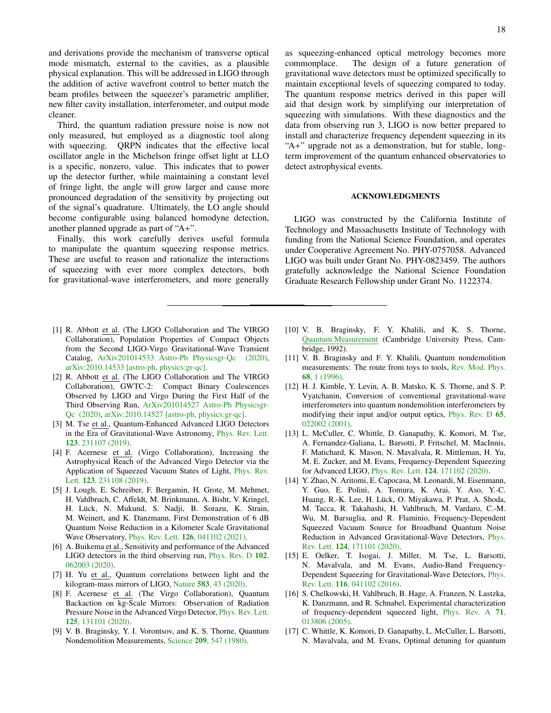and derivations provide the mechanism of transverse optical mode mismatch, external to the cavities, as a plausible physical explanation. This will be addressed in LIGO through the addition of active wavefront control to better match the beam profiles between the squeezer's parametric amplifier, new filter cavity installation, interferometer, and output mode cleaner.

Third, the quantum radiation pressure noise is now not only measured, but employed as a diagnostic tool along with squeezing. QRPN indicates that the effective local oscillator angle in the Michelson fringe offset light at LLO is a specific, nonzero, value. This indicates that to power up the detector further, while maintaining a constant level of fringe light, the angle will grow larger and cause more pronounced degradation of the sensitivity by projecting out of the signal's quadrature. Ultimately, the LO angle should become configurable using balanced homodyne detection, another planned upgrade as part of "A+".

Finally, this work carefully derives useful formula to manipulate the quantum squeezing response metrics. These are useful to reason and rationalize the interactions of squeezing with ever more complex detectors, both for gravitational-wave interferometers, and more generally

- <span id="page-17-0"></span>[1] R. Abbott et al. (The LIGO Collaboration and The VIRGO Collaboration), Population Properties of Compact Objects from the Second LIGO-Virgo Gravitational-Wave Transient Catalog, [ArXiv201014533 Astro-Ph Physicsgr-Qc \(2020\),](http://arxiv.org/abs/2010.14533) [arXiv:2010.14533 \[astro-ph, physics:gr-qc\].](https://arxiv.org/abs/2010.14533)
- <span id="page-17-1"></span>[2] R. Abbott et al. (The LIGO Collaboration and The VIRGO Collaboration), GWTC-2: Compact Binary Coalescences Observed by LIGO and Virgo During the First Half of the Third Observing Run, [ArXiv201014527 Astro-Ph Physicsgr-](http://arxiv.org/abs/2010.14527)[Qc \(2020\),](http://arxiv.org/abs/2010.14527) [arXiv:2010.14527 \[astro-ph, physics:gr-qc\].](https://arxiv.org/abs/2010.14527)
- <span id="page-17-2"></span>[3] M. Tse et al., Quantum-Enhanced Advanced LIGO Detectors in the Era of Gravitational-Wave Astronomy, [Phys. Rev. Lett.](https://doi.org/10.1103/PhysRevLett.123.231107) 123[, 231107 \(2019\).](https://doi.org/10.1103/PhysRevLett.123.231107)
- [4] F. Acernese et al. (Virgo Collaboration), Increasing the Astrophysical Reach of the Advanced Virgo Detector via the Application of Squeezed Vacuum States of Light, [Phys. Rev.](https://doi.org/10.1103/PhysRevLett.123.231108) Lett. 123[, 231108 \(2019\).](https://doi.org/10.1103/PhysRevLett.123.231108)
- <span id="page-17-3"></span>[5] J. Lough, E. Schreiber, F. Bergamin, H. Grote, M. Mehmet, H. Vahlbruch, C. Affeldt, M. Brinkmann, A. Bisht, V. Kringel, H. Lück, N. Mukund, S. Nadji, B. Sorazu, K. Strain, M. Weinert, and K. Danzmann, First Demonstration of 6 dB Quantum Noise Reduction in a Kilometer Scale Gravitational Wave Observatory, Phys. Rev. Lett. 126[, 041102 \(2021\).](https://doi.org/10.1103/PhysRevLett.126.041102)
- <span id="page-17-4"></span>[6] A. Buikema et al., Sensitivity and performance of the Advanced LIGO detectors in the third observing run, [Phys. Rev. D](https://doi.org/10.1103/PhysRevD.102.062003) 102, [062003 \(2020\).](https://doi.org/10.1103/PhysRevD.102.062003)
- <span id="page-17-5"></span>[7] H. Yu et al., Quantum correlations between light and the kilogram-mass mirrors of LIGO, Nature 583[, 43 \(2020\).](https://doi.org/10.1038/s41586-020-2420-8)
- <span id="page-17-6"></span>[8] F. Acernese et al. (The Virgo Collaboration), Quantum Backaction on kg-Scale Mirrors: Observation of Radiation Pressure Noise in the Advanced Virgo Detector, [Phys. Rev. Lett.](https://doi.org/10.1103/PhysRevLett.125.131101) 125[, 131101 \(2020\).](https://doi.org/10.1103/PhysRevLett.125.131101)
- <span id="page-17-7"></span>[9] V. B. Braginsky, Y. I. Vorontsov, and K. S. Thorne, Quantum Nondemolition Measurements, Science 209[, 547 \(1980\).](https://doi.org/10.1126/science.209.4456.547)

commonplace. The design of a future generation of gravitational wave detectors must be optimized specifically to maintain exceptional levels of squeezing compared to today. The quantum response metrics derived in this paper will aid that design work by simplifying our interpretation of squeezing with simulations. With these diagnostics and the data from observing run 3, LIGO is now better prepared to install and characterize frequency dependent squeezing in its "A+" upgrade not as a demonstration, but for stable, longterm improvement of the quantum enhanced observatories to detect astrophysical events.

### ACKNOWLEDGMENTS

LIGO was constructed by the California Institute of Technology and Massachusetts Institute of Technology with funding from the National Science Foundation, and operates under Cooperative Agreement No. PHY-0757058. Advanced LIGO was built under Grant No. PHY-0823459. The authors gratefully acknowledge the National Science Foundation Graduate Research Fellowship under Grant No. 1122374.

- [10] V. B. Braginsky, F. Y. Khalili, and K. S. Thorne, [Quantum Measurement](https://doi.org/10.1017/CBO9780511622748) (Cambridge University Press, Cambridge, 1992).
- <span id="page-17-8"></span>[11] V. B. Braginsky and F. Y. Khalili, Quantum nondemolition measurements: The route from toys to tools, [Rev. Mod. Phys.](https://doi.org/10.1103/RevModPhys.68.1) 68[, 1 \(1996\).](https://doi.org/10.1103/RevModPhys.68.1)
- <span id="page-17-9"></span>[12] H. J. Kimble, Y. Levin, A. B. Matsko, K. S. Thorne, and S. P. Vyatchanin, Conversion of conventional gravitational-wave interferometers into quantum nondemolition interferometers by modifying their input and/or output optics, [Phys. Rev. D](https://doi.org/10.1103/PhysRevD.65.022002) 65, [022002 \(2001\).](https://doi.org/10.1103/PhysRevD.65.022002)
- <span id="page-17-10"></span>[13] L. McCuller, C. Whittle, D. Ganapathy, K. Komori, M. Tse, A. Fernandez-Galiana, L. Barsotti, P. Fritschel, M. MacInnis, F. Matichard, K. Mason, N. Mavalvala, R. Mittleman, H. Yu, M. E. Zucker, and M. Evans, Frequency-Dependent Squeezing for Advanced LIGO, Phys. Rev. Lett. 124[, 171102 \(2020\).](https://doi.org/10.1103/PhysRevLett.124.171102)
- <span id="page-17-12"></span>[14] Y. Zhao, N. Aritomi, E. Capocasa, M. Leonardi, M. Eisenmann, Y. Guo, E. Polini, A. Tomura, K. Arai, Y. Aso, Y.-C. Huang, R.-K. Lee, H. Lück, O. Miyakawa, P. Prat, A. Shoda, M. Tacca, R. Takahashi, H. Vahlbruch, M. Vardaro, C.-M. Wu, M. Barsuglia, and R. Flaminio, Frequency-Dependent Squeezed Vacuum Source for Broadband Quantum Noise Reduction in Advanced Gravitational-Wave Detectors, [Phys.](https://doi.org/10.1103/PhysRevLett.124.171101) Rev. Lett. 124[, 171101 \(2020\).](https://doi.org/10.1103/PhysRevLett.124.171101)
- [15] E. Oelker, T. Isogai, J. Miller, M. Tse, L. Barsotti, N. Mavalvala, and M. Evans, Audio-Band Frequency-Dependent Squeezing for Gravitational-Wave Detectors, [Phys.](https://doi.org/10.1103/PhysRevLett.116.041102) Rev. Lett. 116[, 041102 \(2016\).](https://doi.org/10.1103/PhysRevLett.116.041102)
- [16] S. Chelkowski, H. Vahlbruch, B. Hage, A. Franzen, N. Lastzka, K. Danzmann, and R. Schnabel, Experimental characterization of frequency-dependent squeezed light, [Phys. Rev. A](https://doi.org/10.1103/PhysRevA.71.013806) 71, [013806 \(2005\).](https://doi.org/10.1103/PhysRevA.71.013806)
- <span id="page-17-11"></span>[17] C. Whittle, K. Komori, D. Ganapathy, L. McCuller, L. Barsotti, N. Mavalvala, and M. Evans, Optimal detuning for quantum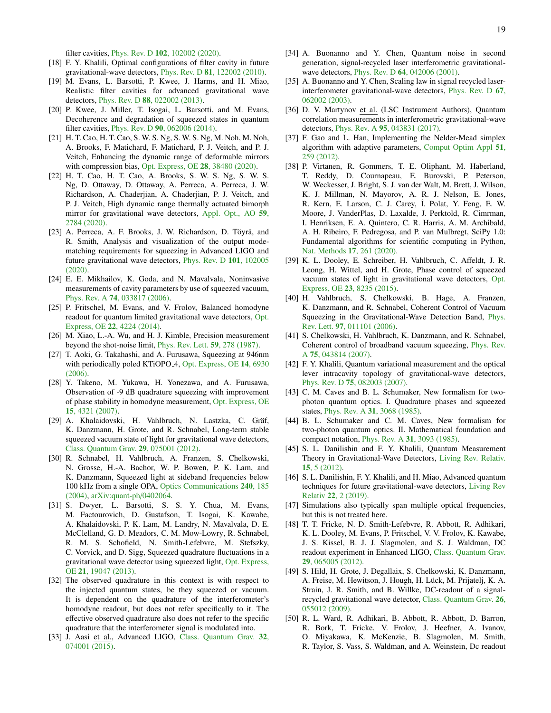filter cavities, Phys. Rev. D 102[, 102002 \(2020\).](https://doi.org/10.1103/PhysRevD.102.102002)

- [18] F. Y. Khalili, Optimal configurations of filter cavity in future gravitational-wave detectors, Phys. Rev. D 81[, 122002 \(2010\).](https://doi.org/10.1103/PhysRevD.81.122002)
- [19] M. Evans, L. Barsotti, P. Kwee, J. Harms, and H. Miao, Realistic filter cavities for advanced gravitational wave detectors, Phys. Rev. D 88[, 022002 \(2013\).](https://doi.org/10.1103/PhysRevD.88.022002)
- <span id="page-18-0"></span>[20] P. Kwee, J. Miller, T. Isogai, L. Barsotti, and M. Evans, Decoherence and degradation of squeezed states in quantum filter cavities, Phys. Rev. D 90[, 062006 \(2014\).](https://doi.org/10.1103/PhysRevD.90.062006)
- <span id="page-18-1"></span>[21] H. T. Cao, H. T. Cao, S. W. S. Ng, S. W. S. Ng, M. Noh, M. Noh, A. Brooks, F. Matichard, F. Matichard, P. J. Veitch, and P. J. Veitch, Enhancing the dynamic range of deformable mirrors with compression bias, [Opt. Express, OE](https://doi.org/10.1364/OE.408921) 28, 38480 (2020).
- [22] H. T. Cao, H. T. Cao, A. Brooks, S. W. S. Ng, S. W. S. Ng, D. Ottaway, D. Ottaway, A. Perreca, A. Perreca, J. W. Richardson, A. Chaderjian, A. Chaderjian, P. J. Veitch, and P. J. Veitch, High dynamic range thermally actuated bimorph mirror for gravitational wave detectors, [Appl. Opt., AO](https://doi.org/10.1364/AO.376764) 59, [2784 \(2020\).](https://doi.org/10.1364/AO.376764)
- <span id="page-18-2"></span>[23] A. Perreca, A. F. Brooks, J. W. Richardson, D. Töyrä, and R. Smith, Analysis and visualization of the output modematching requirements for squeezing in Advanced LIGO and future gravitational wave detectors, [Phys. Rev. D](https://doi.org/10.1103/PhysRevD.101.102005) 101, 102005 [\(2020\).](https://doi.org/10.1103/PhysRevD.101.102005)
- <span id="page-18-3"></span>[24] E. E. Mikhailov, K. Goda, and N. Mavalvala, Noninvasive measurements of cavity parameters by use of squeezed vacuum, Phys. Rev. A 74[, 033817 \(2006\).](https://doi.org/10.1103/PhysRevA.74.033817)
- <span id="page-18-4"></span>[25] P. Fritschel, M. Evans, and V. Frolov, Balanced homodyne readout for quantum limited gravitational wave detectors, [Opt.](https://doi.org/10.1364/OE.22.004224) Express, OE 22[, 4224 \(2014\).](https://doi.org/10.1364/OE.22.004224)
- <span id="page-18-5"></span>[26] M. Xiao, L.-A. Wu, and H. J. Kimble, Precision measurement beyond the shot-noise limit, [Phys. Rev. Lett.](https://doi.org/10.1103/PhysRevLett.59.278) 59, 278 (1987).
- [27] T. Aoki, G. Takahashi, and A. Furusawa, Squeezing at 946nm with periodically poled KTiOPO<sub>-4</sub>, [Opt. Express, OE](https://doi.org/10.1364/OE.14.006930) 14, 6930 [\(2006\).](https://doi.org/10.1364/OE.14.006930)
- [28] Y. Takeno, M. Yukawa, H. Yonezawa, and A. Furusawa, Observation of -9 dB quadrature squeezing with improvement of phase stability in homodyne measurement, [Opt. Express, OE](https://doi.org/10.1364/OE.15.004321) 15[, 4321 \(2007\).](https://doi.org/10.1364/OE.15.004321)
- [29] A. Khalaidovski, H. Vahlbruch, N. Lastzka, C. Gräf, K. Danzmann, H. Grote, and R. Schnabel, Long-term stable squeezed vacuum state of light for gravitational wave detectors, [Class. Quantum Grav.](https://doi.org/10.1088/0264-9381/29/7/075001) 29, 075001 (2012).
- [30] R. Schnabel, H. Vahlbruch, A. Franzen, S. Chelkowski, N. Grosse, H.-A. Bachor, W. P. Bowen, P. K. Lam, and K. Danzmann, Squeezed light at sideband frequencies below 100 kHz from a single OPA, [Optics Communications](https://doi.org/10.1016/j.optcom.2004.06.030) 240, 185 [\(2004\),](https://doi.org/10.1016/j.optcom.2004.06.030) [arXiv:quant-ph](https://arxiv.org/abs/quant-ph/0402064)/0402064.
- <span id="page-18-6"></span>[31] S. Dwyer, L. Barsotti, S. S. Y. Chua, M. Evans, M. Factourovich, D. Gustafson, T. Isogai, K. Kawabe, A. Khalaidovski, P. K. Lam, M. Landry, N. Mavalvala, D. E. McClelland, G. D. Meadors, C. M. Mow-Lowry, R. Schnabel, R. M. S. Schofield, N. Smith-Lefebvre, M. Stefszky, C. Vorvick, and D. Sigg, Squeezed quadrature fluctuations in a gravitational wave detector using squeezed light, [Opt. Express,](https://doi.org/10.1364/OE.21.019047) OE 21[, 19047 \(2013\).](https://doi.org/10.1364/OE.21.019047)
- <span id="page-18-7"></span>[32] The observed quadrature in this context is with respect to the injected quantum states, be they squeezed or vacuum. It is dependent on the quadrature of the interferometer's homodyne readout, but does not refer specifically to it. The effective observed quadrature also does not refer to the specific quadrature that the interferometer signal is modulated into.
- <span id="page-18-8"></span>[33] J. Aasi et al., Advanced LIGO, [Class. Quantum Grav.](https://doi.org/10.1088/0264-9381/32/7/074001) 32, [074001 \(2015\).](https://doi.org/10.1088/0264-9381/32/7/074001)
- <span id="page-18-9"></span>[34] A. Buonanno and Y. Chen, Quantum noise in second generation, signal-recycled laser interferometric gravitationalwave detectors, Phys. Rev. D 64[, 042006 \(2001\).](https://doi.org/10.1103/PhysRevD.64.042006)
- <span id="page-18-10"></span>[35] A. Buonanno and Y. Chen, Scaling law in signal recycled laserinterferometer gravitational-wave detectors, [Phys. Rev. D](https://doi.org/10.1103/PhysRevD.67.062002) 67, [062002 \(2003\).](https://doi.org/10.1103/PhysRevD.67.062002)
- <span id="page-18-11"></span>[36] D. V. Martynov et al. (LSC Instrument Authors), Quantum correlation measurements in interferometric gravitational-wave detectors, Phys. Rev. A 95[, 043831 \(2017\).](https://doi.org/10.1103/PhysRevA.95.043831)
- <span id="page-18-12"></span>[37] F. Gao and L. Han, Implementing the Nelder-Mead simplex algorithm with adaptive parameters, [Comput Optim Appl](https://doi.org/10.1007/s10589-010-9329-3) 51, [259 \(2012\).](https://doi.org/10.1007/s10589-010-9329-3)
- <span id="page-18-13"></span>[38] P. Virtanen, R. Gommers, T. E. Oliphant, M. Haberland, T. Reddy, D. Cournapeau, E. Burovski, P. Peterson, W. Weckesser, J. Bright, S. J. van der Walt, M. Brett, J. Wilson, K. J. Millman, N. Mayorov, A. R. J. Nelson, E. Jones, R. Kern, E. Larson, C. J. Carey, İ. Polat, Y. Feng, E. W. Moore, J. VanderPlas, D. Laxalde, J. Perktold, R. Cimrman, I. Henriksen, E. A. Quintero, C. R. Harris, A. M. Archibald, A. H. Ribeiro, F. Pedregosa, and P. van Mulbregt, SciPy 1.0: Fundamental algorithms for scientific computing in Python, [Nat. Methods](https://doi.org/10.1038/s41592-019-0686-2) 17, 261 (2020).
- <span id="page-18-14"></span>[39] K. L. Dooley, E. Schreiber, H. Vahlbruch, C. Affeldt, J. R. Leong, H. Wittel, and H. Grote, Phase control of squeezed vacuum states of light in gravitational wave detectors, [Opt.](https://doi.org/10.1364/OE.23.008235) Express, OE 23[, 8235 \(2015\).](https://doi.org/10.1364/OE.23.008235)
- [40] H. Vahlbruch, S. Chelkowski, B. Hage, A. Franzen, K. Danzmann, and R. Schnabel, Coherent Control of Vacuum Squeezing in the Gravitational-Wave Detection Band, [Phys.](https://doi.org/10.1103/PhysRevLett.97.011101) Rev. Lett. 97[, 011101 \(2006\).](https://doi.org/10.1103/PhysRevLett.97.011101)
- <span id="page-18-15"></span>[41] S. Chelkowski, H. Vahlbruch, K. Danzmann, and R. Schnabel, Coherent control of broadband vacuum squeezing, [Phys. Rev.](https://doi.org/10.1103/PhysRevA.75.043814) A 75[, 043814 \(2007\).](https://doi.org/10.1103/PhysRevA.75.043814)
- <span id="page-18-16"></span>[42] F. Y. Khalili, Quantum variational measurement and the optical lever intracavity topology of gravitational-wave detectors, Phys. Rev. D 75[, 082003 \(2007\).](https://doi.org/10.1103/PhysRevD.75.082003)
- <span id="page-18-17"></span>[43] C. M. Caves and B. L. Schumaker, New formalism for twophoton quantum optics. I. Quadrature phases and squeezed states, Phys. Rev. A 31[, 3068 \(1985\).](https://doi.org/10.1103/PhysRevA.31.3068)
- <span id="page-18-18"></span>[44] B. L. Schumaker and C. M. Caves, New formalism for two-photon quantum optics. II. Mathematical foundation and compact notation, Phys. Rev. A 31[, 3093 \(1985\).](https://doi.org/10.1103/PhysRevA.31.3093)
- <span id="page-18-19"></span>[45] S. L. Danilishin and F. Y. Khalili, Quantum Measurement Theory in Gravitational-Wave Detectors, [Living Rev. Relativ.](https://doi.org/10.12942/lrr-2012-5) 15[, 5 \(2012\).](https://doi.org/10.12942/lrr-2012-5)
- <span id="page-18-20"></span>[46] S. L. Danilishin, F. Y. Khalili, and H. Miao, Advanced quantum techniques for future gravitational-wave detectors, [Living Rev](https://doi.org/10.1007/s41114-019-0018-y) Relativ 22[, 2 \(2019\).](https://doi.org/10.1007/s41114-019-0018-y)
- <span id="page-18-21"></span>[47] Simulations also typically span multiple optical frequencies, but this is not treated here.
- <span id="page-18-22"></span>[48] T. T. Fricke, N. D. Smith-Lefebvre, R. Abbott, R. Adhikari, K. L. Dooley, M. Evans, P. Fritschel, V. V. Frolov, K. Kawabe, J. S. Kissel, B. J. J. Slagmolen, and S. J. Waldman, DC readout experiment in Enhanced LIGO, [Class. Quantum Grav.](https://doi.org/10.1088/0264-9381/29/6/065005) 29[, 065005 \(2012\).](https://doi.org/10.1088/0264-9381/29/6/065005)
- [49] S. Hild, H. Grote, J. Degallaix, S. Chelkowski, K. Danzmann, A. Freise, M. Hewitson, J. Hough, H. Lück, M. Prijatelj, K. A. Strain, J. R. Smith, and B. Willke, DC-readout of a signalrecycled gravitational wave detector, [Class. Quantum Grav.](https://doi.org/10.1088/0264-9381/26/5/055012) 26, [055012 \(2009\).](https://doi.org/10.1088/0264-9381/26/5/055012)
- <span id="page-18-23"></span>[50] R. L. Ward, R. Adhikari, B. Abbott, R. Abbott, D. Barron, R. Bork, T. Fricke, V. Frolov, J. Heefner, A. Ivanov, O. Miyakawa, K. McKenzie, B. Slagmolen, M. Smith, R. Taylor, S. Vass, S. Waldman, and A. Weinstein, Dc readout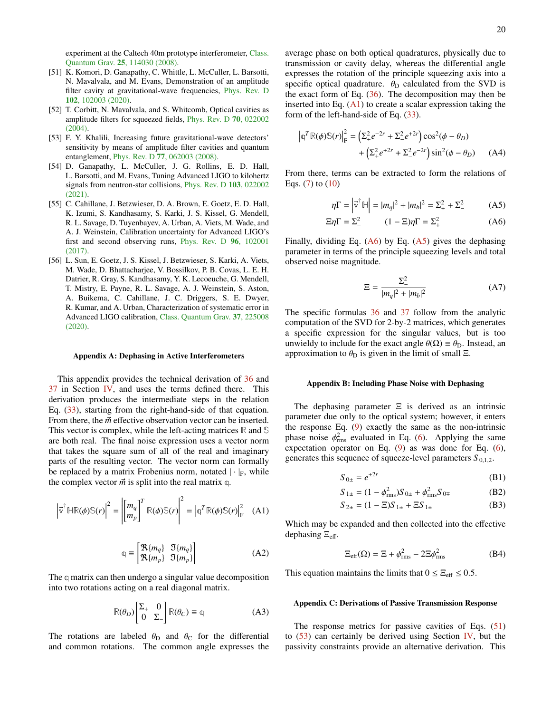experiment at the Caltech 40m prototype interferometer, [Class.](https://doi.org/10.1088/0264-9381/25/11/114030) Quantum Grav. 25[, 114030 \(2008\).](https://doi.org/10.1088/0264-9381/25/11/114030)

- <span id="page-19-3"></span>[51] K. Komori, D. Ganapathy, C. Whittle, L. McCuller, L. Barsotti, N. Mavalvala, and M. Evans, Demonstration of an amplitude filter cavity at gravitational-wave frequencies, [Phys. Rev. D](https://doi.org/10.1103/PhysRevD.102.102003) 102[, 102003 \(2020\).](https://doi.org/10.1103/PhysRevD.102.102003)
- [52] T. Corbitt, N. Mavalvala, and S. Whitcomb, Optical cavities as amplitude filters for squeezed fields, [Phys. Rev. D](https://doi.org/10.1103/PhysRevD.70.022002) 70, 022002  $(2004)$
- <span id="page-19-4"></span>[53] F. Y. Khalili, Increasing future gravitational-wave detectors' sensitivity by means of amplitude filter cavities and quantum entanglement, Phys. Rev. D 77[, 062003 \(2008\).](https://doi.org/10.1103/PhysRevD.77.062003)
- <span id="page-19-5"></span>[54] D. Ganapathy, L. McCuller, J. G. Rollins, E. D. Hall, L. Barsotti, and M. Evans, Tuning Advanced LIGO to kilohertz signals from neutron-star collisions, [Phys. Rev. D](https://doi.org/10.1103/PhysRevD.103.022002) 103, 022002 [\(2021\).](https://doi.org/10.1103/PhysRevD.103.022002)
- <span id="page-19-6"></span>[55] C. Cahillane, J. Betzwieser, D. A. Brown, E. Goetz, E. D. Hall, K. Izumi, S. Kandhasamy, S. Karki, J. S. Kissel, G. Mendell, R. L. Savage, D. Tuyenbayev, A. Urban, A. Viets, M. Wade, and A. J. Weinstein, Calibration uncertainty for Advanced LIGO's first and second observing runs, [Phys. Rev. D](https://doi.org/10.1103/PhysRevD.96.102001) 96, 102001 [\(2017\).](https://doi.org/10.1103/PhysRevD.96.102001)
- <span id="page-19-7"></span>[56] L. Sun, E. Goetz, J. S. Kissel, J. Betzwieser, S. Karki, A. Viets, M. Wade, D. Bhattacharjee, V. Bossilkov, P. B. Covas, L. E. H. Datrier, R. Gray, S. Kandhasamy, Y. K. Lecoeuche, G. Mendell, T. Mistry, E. Payne, R. L. Savage, A. J. Weinstein, S. Aston, A. Buikema, C. Cahillane, J. C. Driggers, S. E. Dwyer, R. Kumar, and A. Urban, Characterization of systematic error in Advanced LIGO calibration, [Class. Quantum Grav.](https://doi.org/10.1088/1361-6382/abb14e) 37, 225008 [\(2020\).](https://doi.org/10.1088/1361-6382/abb14e)

#### <span id="page-19-1"></span>Appendix A: Dephasing in Active Interferometers

This appendix provides the technical derivation of [36](#page-10-0) and [37](#page-10-4) in Section [IV,](#page-8-0) and uses the terms defined there. This derivation produces the intermediate steps in the relation Eq. [\(33\)](#page-9-4), starting from the right-hand-side of that equation. From there, the  $\vec{m}$  effective observation vector can be inserted. This vector is complex, while the left-acting matrices **R** and **S** are both real. The final noise expression uses a vector norm that takes the square sum of all of the real and imaginary parts of the resulting vector. The vector norm can formally be replaced by a matrix Frobenius norm, notated  $|\cdot|_F$ , while the complex vector  $\vec{m}$  is split into the real matrix q.

$$
\left|\vec{v}^{\dagger} \mathbb{H}\mathbb{R}(\phi)\mathbb{S}(r)\right|^2 = \left|\begin{bmatrix} m_q \\ m_p \end{bmatrix}^T \mathbb{R}(\phi)\mathbb{S}(r)\right|^2 = \left|\mathbb{q}^T \mathbb{R}(\phi)\mathbb{S}(r)\right|_{\mathcal{F}}^2 \quad (A1)
$$

$$
\mathbb{q} \equiv \begin{bmatrix} \mathfrak{R}\{m_q\} & \mathfrak{I}\{m_q\} \\ \mathfrak{R}\{m_p\} & \mathfrak{I}\{m_p\} \end{bmatrix} \tag{A2}
$$

The **q** matrix can then undergo a singular value decomposition into two rotations acting on a real diagonal matrix.

$$
\mathbb{R}(\theta_D) \begin{bmatrix} \Sigma_+ & 0\\ 0 & \Sigma_- \end{bmatrix} \mathbb{R}(\theta_C) \equiv \mathbb{q}
$$
 (A3)

The rotations are labeled  $\theta_{\rm D}$  and  $\theta_{\rm C}$  for the differential and common rotations. The common angle expresses the average phase on both optical quadratures, physically due to transmission or cavity delay, whereas the differential angle expresses the rotation of the principle squeezing axis into a specific optical quadrature.  $\theta_D$  calculated from the SVD is the exact form of Eq.  $(36)$ . The decomposition may then be inserted into Eq.  $(A1)$  to create a scalar expression taking the form of the left-hand-side of Eq. [\(33\)](#page-9-4).

$$
|\mathbf{q}^T \mathbb{R}(\phi) \mathbb{S}(r)|_{\mathbf{F}}^2 = (\Sigma_+^2 e^{-2r} + \Sigma_-^2 e^{+2r}) \cos^2(\phi - \theta_D) + (\Sigma_+^2 e^{+2r} + \Sigma_-^2 e^{-2r}) \sin^2(\phi - \theta_D)
$$
 (A4)

From there, terms can be extracted to form the relations of Eqs. [\(7\)](#page-2-1) to [\(10\)](#page-2-2)

$$
\eta \Gamma = \left| \vec{v}^{\dagger} \mathbb{H} \right| = |m_q|^2 + |m_b|^2 = \Sigma_+^2 + \Sigma_-^2 \tag{A5}
$$

$$
\Xi \eta \Gamma = \Sigma_-^2 \qquad (1 - \Xi) \eta \Gamma = \Sigma_+^2 \qquad (A6)
$$

Finally, dividing Eq.  $(A6)$  by Eq.  $(A5)$  gives the dephasing parameter in terms of the principle squeezing levels and total observed noise magnitude.

<span id="page-19-10"></span><span id="page-19-9"></span>
$$
\Xi = \frac{\Sigma_-^2}{|m_q|^2 + |m_b|^2}
$$
 (A7)

The specific formulas [36](#page-10-0) and [37](#page-10-4) follow from the analytic computation of the SVD for 2-by-2 matrices, which generates a specific expression for the singular values, but is too unwieldy to include for the exact angle  $\theta(\Omega) \equiv \theta_D$ . Instead, an approximation to  $\theta_{\rm D}$  is given in the limit of small  $\Xi$ .

#### <span id="page-19-0"></span>Appendix B: Including Phase Noise with Dephasing

The dephasing parameter  $\Xi$  is derived as an intrinsic parameter due only to the optical system; however, it enters the response Eq.  $(9)$  exactly the same as the non-intrinsic phase noise  $\phi_{\text{rms}}^2$  evaluated in Eq. [\(6\)](#page-2-6). Applying the same<br>expectation operator on Eq. (9) as was done for Eq. (6). expectation operator on Eq. [\(9\)](#page-2-5) as was done for Eq. [\(6\)](#page-2-6), generates this sequence of squeeze-level parameters  $S_{0,1,2}$ .

$$
S_{0\pm} = e^{\pm 2r} \tag{B1}
$$

$$
S_{1\pm} = (1 - \phi_{\text{rms}}^2) S_{0\pm} + \phi_{\text{rms}}^2 S_{0\mp}
$$
 (B2)

$$
S_{2\pm} = (1 - \Xi)S_{1\pm} + \Xi S_{1\pm}
$$
 (B3)

<span id="page-19-8"></span>Which may be expanded and then collected into the effective dephasing  $\Xi_{\text{eff}}$ .

$$
\Xi_{\text{eff}}(\Omega) = \Xi + \phi_{\text{rms}}^2 - 2\Xi \phi_{\text{rms}}^2 \tag{B4}
$$

This equation maintains the limits that  $0 \le \Xi_{\text{eff}} \le 0.5$ .

#### <span id="page-19-2"></span>Appendix C: Derivations of Passive Transmission Response

The response metrics for passive cavities of Eqs. [\(51\)](#page-11-1) to  $(53)$  can certainly be derived using Section [IV,](#page-8-0) but the passivity constraints provide an alternative derivation. This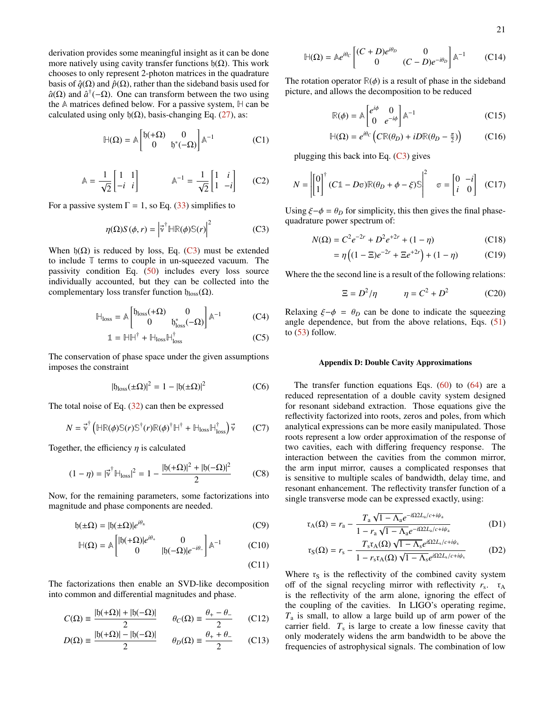derivation provides some meaningful insight as it can be done more natively using cavity transfer functions  $\mathfrak{h}(\Omega)$ . This work chooses to only represent 2-photon matrices in the quadrature basis of  $\hat{q}(\Omega)$  and  $\hat{p}(\Omega)$ , rather than the sideband basis used for  $\hat{a}(\Omega)$  and  $\hat{a}^{\dagger}(-\Omega)$ . One can transform between the two using the **A** matrices defined below. For a passive system, **H** can be calculated using only  $\mathfrak{h}(\Omega)$ , basis-changing Eq. [\(27\)](#page-9-5), as:

$$
\mathbb{H}(\Omega) = \mathbb{A} \begin{bmatrix} \mathfrak{h}(+\Omega) & 0 \\ 0 & \mathfrak{h}^*(-\Omega) \end{bmatrix} \mathbb{A}^{-1}
$$
 (C1)

$$
\mathbb{A} = \frac{1}{\sqrt{2}} \begin{bmatrix} 1 & 1 \\ -i & i \end{bmatrix} \qquad \mathbb{A}^{-1} = \frac{1}{\sqrt{2}} \begin{bmatrix} 1 & i \\ 1 & -i \end{bmatrix} \qquad (C2)
$$

For a passive system  $\Gamma = 1$ , so Eq. [\(33\)](#page-9-4) simplifies to

$$
\eta(\Omega)S(\phi, r) = \left|\vec{v}^\dagger \mathbb{H}\mathbb{R}(\phi)\mathbb{S}(r)\right|^2 \tag{C3}
$$

When  $b(\Omega)$  is reduced by loss, Eq. [\(C3\)](#page-20-1) must be extended to include **T** terms to couple in un-squeezed vacuum. The passivity condition Eq. [\(50\)](#page-11-4) includes every loss source individually accounted, but they can be collected into the complementary loss transfer function  $\mathfrak{h}_{loss}(\Omega)$ .

$$
\mathbb{H}_{\text{loss}} = \mathbb{A} \begin{bmatrix} \mathfrak{h}_{\text{loss}}(+\Omega) & 0\\ 0 & \mathfrak{h}_{\text{loss}}^*(-\Omega) \end{bmatrix} \mathbb{A}^{-1} \tag{C4}
$$

$$
\mathbb{1} = \mathbb{H}\mathbb{H}^{\dagger} + \mathbb{H}_{\text{loss}}\mathbb{H}_{\text{loss}}^{\dagger}
$$
 (C5)

The conservation of phase space under the given assumptions imposes the constraint

$$
|\mathfrak{h}_{\text{loss}}(\pm\Omega)|^2 = 1 - |\mathfrak{h}(\pm\Omega)|^2 \tag{C6}
$$

The total noise of Eq.  $(32)$  can then be expressed

$$
N = \vec{v}^{\dagger} \left( \mathbb{HR}(\phi) \mathbb{S}(r) \mathbb{S}^{\dagger}(r) \mathbb{R}(\phi)^{\dagger} \mathbb{H}^{\dagger} + \mathbb{H}_{\text{loss}} \mathbb{H}_{\text{loss}}^{\dagger} \right) \vec{v} \qquad (C7)
$$

Together, the efficiency  $\eta$  is calculated

$$
(1 - \eta) = |\vec{v}^{\dagger}|_{\text{loss}}|^2 = 1 - \frac{|b(+\Omega)|^2 + |b(-\Omega)|^2}{2}
$$
 (C8)

Now, for the remaining parameters, some factorizations into magnitude and phase components are needed.

$$
b(\pm \Omega) = |b(\pm \Omega)|e^{i\theta_{\pm}} \tag{C9}
$$

$$
\mathbb{H}(\Omega) = \mathbb{A} \begin{bmatrix} |J(\Omega)|e^{i\theta_{+}} & 0\\ 0 & |J(\Omega)|e^{-i\theta_{-}} \end{bmatrix} \mathbb{A}^{-1}
$$
 (C10)

$$
(C11)
$$

The factorizations then enable an SVD-like decomposition into common and differential magnitudes and phase.

$$
C(\Omega) \equiv \frac{|b(+\Omega)| + |b(-\Omega)|}{2} \qquad \theta_C(\Omega) \equiv \frac{\theta_+ - \theta_-}{2} \qquad (C12)
$$

$$
D(\Omega) \equiv \frac{|b(+\Omega)| - |b(-\Omega)|}{2} \qquad \theta_D(\Omega) \equiv \frac{\theta_+ + \theta_-}{2} \qquad (C13)
$$

$$
\mathbb{H}(\Omega) = \mathbb{A}e^{i\theta_C} \begin{bmatrix} (C+D)e^{i\theta_D} & 0\\ 0 & (C-D)e^{-i\theta_D} \end{bmatrix} \mathbb{A}^{-1}
$$
 (C14)

The rotation operator  $\mathbb{R}(\phi)$  is a result of phase in the sideband picture, and allows the decomposition to be reduced

<span id="page-20-4"></span>
$$
\mathbb{R}(\phi) = \mathbb{A} \begin{bmatrix} e^{i\phi} & 0\\ 0 & e^{-i\phi} \end{bmatrix} \mathbb{A}^{-1}
$$
 (C15)

$$
\mathbb{H}(\Omega) = e^{i\theta_C} \left( C\mathbb{R}(\theta_D) + iD\mathbb{R}(\theta_D - \frac{\pi}{2}) \right) \tag{C16}
$$

plugging this back into Eq.  $(C3)$  gives

$$
N = \begin{bmatrix} 0 \\ 1 \end{bmatrix}^{\dagger} (C \mathbb{1} - D \sigma) \mathbb{R} (\theta_D + \phi - \xi) \mathbb{S} \begin{bmatrix} 0 & -i \\ i & 0 \end{bmatrix} \quad (C17)
$$

<span id="page-20-1"></span>Using  $\xi-\phi = \theta_D$  for simplicity, this then gives the final phasequadrature power spectrum of:

$$
N(\Omega) = C^2 e^{-2r} + D^2 e^{+2r} + (1 - \eta)
$$
 (C18)

$$
= \eta \left( (1 - \Xi)e^{-2r} + \Xi e^{+2r} \right) + (1 - \eta) \tag{C19}
$$

Where the the second line is a result of the following relations:

$$
\Xi = D^2/\eta \qquad \eta = C^2 + D^2 \tag{C20}
$$

Relaxing  $\xi-\phi = \theta_D$  can be done to indicate the squeezing angle dependence, but from the above relations, Eqs. [\(51\)](#page-11-1) to [\(53\)](#page-11-3) follow.

### <span id="page-20-0"></span>Appendix D: Double Cavity Approximations

The transfer function equations Eqs.  $(60)$  to  $(64)$  are a reduced representation of a double cavity system designed for resonant sideband extraction. Those equations give the reflectivity factorized into roots, zeros and poles, from which analytical expressions can be more easily manipulated. Those roots represent a low order approximation of the response of two cavities, each with differing frequency response. The interaction between the cavities from the common mirror, the arm input mirror, causes a complicated responses that is sensitive to multiple scales of bandwidth, delay time, and resonant enhancement. The reflectivity transfer function of a single transverse mode can be expressed exactly, using:

$$
r_{A}(\Omega) = r_{a} - \frac{T_{a} \sqrt{1 - \Lambda_{a}} e^{-i\Omega_{a}L_{a}/c + i\psi_{a}}}{1 - r_{a} \sqrt{1 - \Lambda_{a}} e^{-i\Omega_{a}L_{a}/c + i\psi_{a}}}
$$
(D1)

<span id="page-20-3"></span><span id="page-20-2"></span>
$$
r_{\rm S}(\Omega) = r_{\rm s} - \frac{T_{\rm s}r_{\rm A}(\Omega)\sqrt{1 - \Lambda_{\rm s}}e^{i\Omega 2L_{\rm s}/c + i\psi_{\rm s}}}{1 - r_{\rm s}r_{\rm A}(\Omega)\sqrt{1 - \Lambda_{\rm s}}e^{i\Omega 2L_{\rm s}/c + i\psi_{\rm s}}}
$$
(D2)

Where  $r<sub>S</sub>$  is the reflectivity of the combined cavity system off of the signal recycling mirror with reflectivity  $r_s$ .  $r_A$ is the reflectivity of the arm alone, ignoring the effect of the coupling of the cavities. In LIGO's operating regime, *T*<sup>a</sup> is small, to allow a large build up of arm power of the carrier field.  $T<sub>s</sub>$  is large to create a low finesse cavity that only moderately widens the arm bandwidth to be above the frequencies of astrophysical signals. The combination of low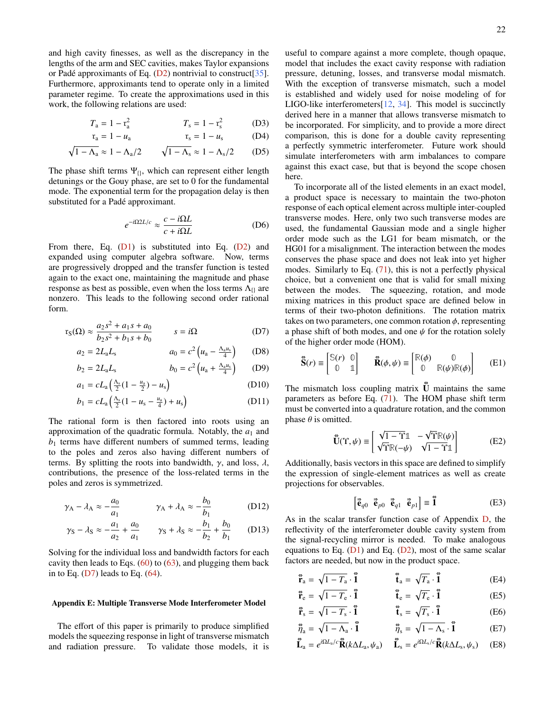and high cavity finesses, as well as the discrepancy in the lengths of the arm and SEC cavities, makes Taylor expansions or Padé approximants of Eq.  $(D2)$  $(D2)$  nontrivial to construct [\[35\]](#page-18-10). Furthermore, approximants tend to operate only in a limited parameter regime. To create the approximations used in this work, the following relations are used:

$$
T_a = 1 - r_a^2 \qquad T_s = 1 - r_s^2 \qquad (D3)
$$

$$
r_a = 1 - u_a \t\t r_s = 1 - u_s \t\t (D4)
$$

$$
\sqrt{1 - \Lambda_a} \approx 1 - \Lambda_a/2 \qquad \sqrt{1 - \Lambda_s} \approx 1 - \Lambda_s/2 \qquad (D5)
$$

The phase shift terms  $\Psi_{\beta}$ , which can represent either length detunings or the Gouy phase, are set to 0 for the fundamental mode. The exponential term for the propagation delay is then substituted for a Padé approximant.

$$
e^{-i\Omega 2L/c} \approx \frac{c - i\Omega L}{c + i\Omega L} \tag{D6}
$$

From there, Eq.  $(D1)$  is substituted into Eq.  $(D2)$  and expanded using computer algebra software. Now, terms are progressively dropped and the transfer function is tested again to the exact one, maintaining the magnitude and phase response as best as possible, even when the loss terms  $\Lambda_{\theta}$  are nonzero. This leads to the following second order rational form.

$$
r_S(\Omega) \approx \frac{a_2 s^2 + a_1 s + a_0}{b_2 s^2 + b_1 s + b_0} \qquad s = i\Omega
$$
 (D7)

$$
a_2 = 2L_a L_s \t\t a_0 = c^2 \left( u_a - \frac{\Lambda_a u_s}{4} \right) \t(D8)
$$

$$
b_2 = 2L_a L_s
$$
  $b_0 = c^2 (u_a + \frac{\Lambda_a u_s}{4})$  (D9)

$$
a_1 = cL_a \left( \frac{\Lambda_s}{2} (1 - \frac{u_a}{2}) - u_s \right)
$$
 (D10)

$$
b_1 = cL_a \left( \frac{\Lambda_s}{2} (1 - u_s - \frac{u_a}{4}) + u_s \right)
$$
 (D11)

The rational form is then factored into roots using an approximation of the quadratic formula. Notably, the  $a_1$  and  $b_1$  terms have different numbers of summed terms, leading to the poles and zeros also having different numbers of terms. By splitting the roots into bandwidth,  $\gamma$ , and loss,  $\lambda$ , contributions, the presence of the loss-related terms in the poles and zeros is symmetrized.

$$
\gamma_{A} - \lambda_{A} \approx -\frac{a_0}{a_1} \qquad \gamma_{A} + \lambda_{A} \approx -\frac{b_0}{b_1} \qquad (D12)
$$

$$
\gamma_S - \lambda_S \approx -\frac{a_1}{a_2} + \frac{a_0}{a_1}
$$
  $\gamma_S + \lambda_S \approx -\frac{b_1}{b_2} + \frac{b_0}{b_1}$  (D13)

Solving for the individual loss and bandwidth factors for each cavity then leads to Eqs.  $(60)$  to  $(63)$ , and plugging them back in to Eq.  $(D7)$  leads to Eq.  $(64)$ .

## <span id="page-21-0"></span>Appendix E: Multiple Transverse Mode Interferometer Model

The effort of this paper is primarily to produce simplified models the squeezing response in light of transverse mismatch and radiation pressure. To validate those models, it is useful to compare against a more complete, though opaque, model that includes the exact cavity response with radiation pressure, detuning, losses, and transverse modal mismatch. With the exception of transverse mismatch, such a model is established and widely used for noise modeling of for LIGO-like interferometers[\[12,](#page-17-9) [34\]](#page-18-9). This model is succinctly derived here in a manner that allows transverse mismatch to be incorporated. For simplicity, and to provide a more direct comparison, this is done for a double cavity representing a perfectly symmetric interferometer. Future work should simulate interferometers with arm imbalances to compare against this exact case, but that is beyond the scope chosen here.

To incorporate all of the listed elements in an exact model, a product space is necessary to maintain the two-photon response of each optical element across multiple inter-coupled transverse modes. Here, only two such transverse modes are used, the fundamental Gaussian mode and a single higher order mode such as the LG1 for beam mismatch, or the HG01 for a misalignment. The interaction between the modes conserves the phase space and does not leak into yet higher modes. Similarly to Eq. [\(71\)](#page-14-2), this is not a perfectly physical choice, but a convenient one that is valid for small mixing between the modes. The squeezing, rotation, and mode mixing matrices in this product space are defined below in terms of their two-photon definitions. The rotation matrix takes on two parameters, one common rotation  $\phi$ , representing a phase shift of both modes, and one  $\psi$  for the rotation solely of the higher order mode (HOM).

<span id="page-21-1"></span>
$$
\tilde{\mathbf{S}}(r) \equiv \begin{bmatrix} \mathbb{S}(r) & 0 \\ 0 & 1 \end{bmatrix} \qquad \tilde{\mathbf{R}}(\phi, \psi) \equiv \begin{bmatrix} \mathbb{R}(\phi) & 0 \\ 0 & \mathbb{R}(\psi)\mathbb{R}(\phi) \end{bmatrix} \qquad (E1)
$$

The mismatch loss coupling matrix  $\mathbf{\tilde{U}}$  maintains the same parameters as before Eq. [\(71\)](#page-14-2). The HOM phase shift term must be converted into a quadrature rotation, and the common phase  $\theta$  is omitted.

$$
\mathbf{\tilde{U}}(\Upsilon,\psi) \equiv \begin{bmatrix} \sqrt{1-\Upsilon}\mathbb{1} & -\sqrt{\Upsilon}\mathbb{R}(\psi) \\ \sqrt{\Upsilon}\mathbb{R}(-\psi) & \sqrt{1-\Upsilon}\mathbb{1} \end{bmatrix}
$$
(E2)

Additionally, basis vectors in this space are defined to simplify the expression of single-element matrices as well as create projections for observables.

$$
\begin{bmatrix} \vec{\mathbf{e}}_{q0} & \vec{\mathbf{e}}_{p0} & \vec{\mathbf{e}}_{q1} & \vec{\mathbf{e}}_{p1} \end{bmatrix} \equiv \vec{\mathbf{1}}
$$
 (E3)

As in the scalar transfer function case of Appendix [D,](#page-20-0) the reflectivity of the interferometer double cavity system from the signal-recycling mirror is needed. To make analogous equations to Eq.  $(D1)$  and Eq.  $(D2)$ , most of the same scalar factors are needed, but now in the product space.

$$
\tilde{\mathbf{r}}_a = \sqrt{1 - T_a} \cdot \tilde{\mathbf{1}} \qquad \qquad \tilde{\mathbf{t}}_a = \sqrt{T_a} \cdot \tilde{\mathbf{1}} \qquad (E4)
$$

$$
\vec{r}_e = \sqrt{1 - T_e} \cdot \vec{1} \qquad \qquad \vec{t}_e = \sqrt{T_e} \cdot \vec{1} \qquad (E5)
$$

$$
\vec{\mathbf{r}}_s = \sqrt{1 - T_s} \cdot \vec{\mathbf{1}} \qquad \qquad \vec{\mathbf{t}}_s = \sqrt{T_s} \cdot \vec{\mathbf{1}} \qquad (E6)
$$

$$
\tilde{\eta}_a = \sqrt{1 - \Lambda_a} \cdot \tilde{\mathbf{I}} \qquad \qquad \tilde{\eta}_s = \sqrt{1 - \Lambda_s} \cdot \tilde{\mathbf{I}} \qquad (E7)
$$

$$
\widetilde{\mathbf{L}}_{a} = e^{i\Omega L_{a}/c} \widetilde{\mathbf{R}}(k\Delta L_{a}, \psi_{a}) \quad \widetilde{\mathbf{L}}_{s} = e^{i\Omega L_{s}/c} \widetilde{\mathbf{R}}(k\Delta L_{s}, \psi_{s}) \quad \text{(E8)}
$$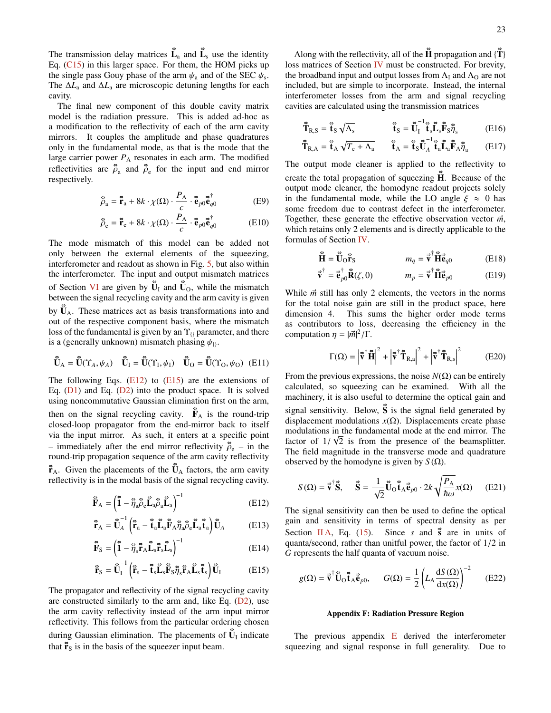The transmission delay matrices  $\tilde{\mathbf{L}}_a$  and  $\tilde{\mathbf{L}}_s$  use the identity Eq.  $(C15)$  in this larger space. For them, the HOM picks up the single pass Gouy phase of the arm  $\psi_a$  and of the SEC  $\psi_s$ .<br>The AL and AL are microscopic detuning lengths for each The ∆*L*<sup>a</sup> and ∆*L*<sup>a</sup> are microscopic detuning lengths for each cavity.

The final new component of this double cavity matrix model is the radiation pressure. This is added ad-hoc as a modification to the reflectivity of each of the arm cavity mirrors. It couples the amplitude and phase quadratures only in the fundamental mode, as that is the mode that the large carrier power  $P_A$  resonates in each arm. The modified reflectivities are  $\vec{p}_a$  and  $\vec{p}_e$  for the input and end mirror respectively.

$$
\vec{\tilde{\rho}}_a = \vec{\tilde{\mathbf{r}}}_a + 8k \cdot \chi(\Omega) \cdot \frac{P_A}{c} \cdot \vec{\tilde{\mathbf{e}}}_{p0} \vec{\tilde{\mathbf{e}}}^{\dagger}_{q0}
$$
(E9)

$$
\vec{\tilde{\rho}}_{\rm e} = \vec{\tilde{\mathbf{r}}}_{\rm e} + 8k \cdot \chi(\Omega) \cdot \frac{P_{\rm A}}{c} \cdot \vec{\tilde{\mathbf{e}}}_{p0} \vec{\tilde{\mathbf{e}}}^{\dagger}_{q0} \tag{E10}
$$

The mode mismatch of this model can be added not only between the external elements of the squeezing, interferometer and readout as shown in Fig. [5,](#page-14-3) but also within the interferometer. The input and output mismatch matrices of Section [VI](#page-13-1) are given by  $\tilde{\mathbf{U}}_I$  and  $\tilde{\mathbf{U}}_O$ , while the mismatch between the signal recycling cavity and the arm cavity is given by  $\mathbf{\tilde{U}}_{A}$ . These matrices act as basis transformations into and out of the respective component basis, where the mismatch loss of the fundamental is given by an  $\Upsilon_{\theta}$  parameter, and there is a (generally unknown) mismatch phasing  $\psi_{\theta}$ .

$$
\tilde{\mathbf{U}}_{\text{A}} = \tilde{\mathbf{U}}(\Upsilon_{\text{A}}, \psi_{\text{A}}) \quad \tilde{\mathbf{U}}_{\text{I}} = \tilde{\mathbf{U}}(\Upsilon_{\text{I}}, \psi_{\text{I}}) \quad \tilde{\mathbf{U}}_{\text{O}} = \tilde{\mathbf{U}}(\Upsilon_{\text{O}}, \psi_{\text{O}}) \tag{E11}
$$

The following Eqs.  $(E12)$  to  $(E15)$  are the extensions of Eq. [\(D1\)](#page-20-3) and Eq. [\(D2\)](#page-20-2) into the product space. It is solved using noncommutative Gaussian elimination first on the arm, then on the signal recycling cavity.  $\vec{F}_A$  is the round-trip closed-loop propagator from the end-mirror back to itself via the input mirror. As such, it enters at a specific point – immediately after the end mirror reflectivity  $\vec{p}_e$  – in the round-trip propagation sequence of the arm cavity reflectivity round-trip propagation sequence of the arm cavity reflectivity  $\mathbf{\vec{r}}_{A}$ . Given the placements of the  $\mathbf{\vec{U}}_{A}$  factors, the arm cavity reflectivity is in the modal basis of the signal recycling cavity.

$$
\tilde{\mathbf{F}}_{\mathbf{A}} = \left(\tilde{\mathbf{I}} - \tilde{\eta}_{a} \tilde{\rho}_{e} \tilde{\mathbf{L}}_{a} \tilde{\rho}_{a} \tilde{\mathbf{L}}_{a}\right)^{-1} \tag{E12}
$$

$$
\mathbf{\vec{r}}_{A} = \mathbf{\vec{U}}_{A}^{-1} \left( \mathbf{\vec{r}}_{a} - \mathbf{\vec{t}}_{a} \mathbf{\vec{L}}_{a} \mathbf{\vec{F}}_{A} \mathbf{\vec{\eta}}_{a} \mathbf{\vec{\rho}}_{e} \mathbf{\vec{L}}_{a} \mathbf{\vec{t}}_{a} \right) \mathbf{\vec{U}}_{A}
$$
(E13)

$$
\tilde{\mathbf{F}}_{\rm S} = \left(\tilde{\mathbf{I}} - \tilde{\eta}_{\rm S} \tilde{\mathbf{r}}_{\rm A} \tilde{\mathbf{L}}_{\rm S} \tilde{\mathbf{r}}_{\rm S} \tilde{\mathbf{L}}_{\rm S}\right)^{-1} \tag{E14}
$$

$$
\mathbf{\vec{r}}_{\rm S} = \mathbf{\vec{U}}_{\rm I}^{-1} \left( \mathbf{\vec{r}}_{\rm s} - \mathbf{\vec{t}}_{\rm s} \mathbf{\vec{L}}_{\rm s} \mathbf{\vec{F}}_{\rm S} \mathbf{\vec{\eta}}_{\rm s} \mathbf{\vec{r}}_{\rm A} \mathbf{\vec{L}}_{\rm s} \mathbf{\vec{t}}_{\rm s} \right) \mathbf{\vec{U}}_{\rm I} \tag{E15}
$$

The propagator and reflectivity of the signal recycling cavity are constructed similarly to the arm and, like Eq.  $(D2)$ , use the arm cavity reflectivity instead of the arm input mirror reflectivity. This follows from the particular ordering chosen during Gaussian elimination. The placements of  $\mathbf{\tilde{U}}$ <sub>I</sub> indicate that  $\mathbf{\vec{r}}_S$  is in the basis of the squeezer input beam.

Along with the reflectivity, all of the  $\hat{\mathbf{H}}$  propagation and  $\{\hat{\mathbf{T}}\}$ loss matrices of Section [IV](#page-8-0) must be constructed. For brevity, the broadband input and output losses from  $\Lambda_I$  and  $\Lambda_O$  are not included, but are simple to incorporate. Instead, the internal interferometer losses from the arm and signal recycling cavities are calculated using the transmission matrices

$$
\tilde{\mathbf{T}}_{R,S} = \tilde{\mathbf{t}}_S \sqrt{\Lambda_s} \qquad \qquad \tilde{\mathbf{t}}_S = \tilde{\mathbf{U}}_I^{-1} \tilde{\mathbf{t}}_s \tilde{\mathbf{L}}_s \tilde{\mathbf{F}}_S \tilde{\eta}_s \qquad (E16)
$$

$$
\tilde{\mathbf{T}}_{R,A} = \tilde{\mathbf{t}}_A \sqrt{T_e + \Lambda_a} \qquad \tilde{\mathbf{t}}_A = \tilde{\mathbf{t}}_S \tilde{\mathbf{U}}_A^{-1} \tilde{\mathbf{t}}_a \tilde{\mathbf{L}}_a \tilde{\mathbf{F}}_A \tilde{\eta}_a \qquad (E17)
$$

The output mode cleaner is applied to the reflectivity to create the total propagation of squeezing  $\tilde{H}$ . Because of the output mode cleaner, the homodyne readout projects solely in the fundamental mode, while the LO angle  $\xi \approx 0$  has some freedom due to contrast defect in the interferometer. Together, these generate the effective observation vector  $\vec{m}$ , which retains only 2 elements and is directly applicable to the formulas of Section [IV.](#page-8-0)

$$
\tilde{\mathbf{H}} = \tilde{\mathbf{U}}_0 \tilde{\mathbf{r}}_S \qquad m_q = \vec{\mathbf{v}}^\dagger \tilde{\mathbf{H}} \vec{\mathbf{e}}_{q0} \qquad (E18)
$$

$$
\vec{\mathbf{v}}^{\dagger} = \vec{\mathbf{e}}_{p0}^{\dagger} \vec{\mathbf{R}}(\zeta, 0) \qquad m_p = \vec{\mathbf{v}}^{\dagger} \vec{\mathbf{H}} \vec{\mathbf{e}}_{p0} \qquad (E19)
$$

While  $\vec{m}$  still has only 2 elements, the vectors in the norms for the total noise gain are still in the product space, here dimension 4. This sums the higher order mode terms as contributors to loss, decreasing the efficiency in the computation  $\eta = |\vec{m}|^2 / \Gamma$ .

$$
\Gamma(\Omega) = \left|\vec{\mathbf{v}}^{\dagger}\tilde{\mathbf{H}}\right|^2 + \left|\vec{\mathbf{v}}^{\dagger}\tilde{\mathbf{T}}_{\text{R,a}}\right|^2 + \left|\vec{\mathbf{v}}^{\dagger}\tilde{\mathbf{T}}_{\text{R,s}}\right|^2 \tag{E20}
$$

From the previous expressions, the noise  $N(\Omega)$  can be entirely calculated, so squeezing can be examined. With all the machinery, it is also useful to determine the optical gain and signal sensitivity. Below,  $\vec{S}$  is the signal field generated by displacement modulations  $x(\Omega)$ . Displacements create phase modulations in the fundamental mode at the end mirror. The factor of  $1/\sqrt{2}$  is from the presence of the beamsplitter.<br>The field magnitude in the transverse mode and quadrature The field magnitude in the transverse mode and quadrature observed by the homodyne is given by  $S(\Omega)$ .

$$
S(\Omega) = \vec{\mathbf{v}}^{\dagger} \vec{\mathbf{S}}, \quad \vec{\mathbf{S}} = \frac{1}{\sqrt{2}} \tilde{\mathbf{U}}_{\Omega} \tilde{\mathbf{t}}_{\Lambda} \vec{\mathbf{e}}_{p0} \cdot 2k \sqrt{\frac{P_{\Lambda}}{\hbar \omega}} x(\Omega) \quad (E21)
$$

<span id="page-22-1"></span>The signal sensitivity can then be used to define the optical gain and sensitivity in terms of spectral density as per Section [II A,](#page-3-0) Eq. [\(15\)](#page-4-0). Since *s* and  $\vec{s}$  are in units of quanta/second, rather than unitful power, the factor of 1/2 in *G* represents the half quanta of vacuum noise.

<span id="page-22-2"></span>
$$
g(\Omega) = \vec{\mathbf{v}}^{\dagger} \vec{\mathbf{U}}_{\Omega} \vec{\mathbf{t}}_{A} \vec{\mathbf{e}}_{p0}, \qquad G(\Omega) = \frac{1}{2} \left( L_{A} \frac{dS(\Omega)}{dx(\Omega)} \right)^{-2} \qquad (E22)
$$

### <span id="page-22-0"></span>Appendix F: Radiation Pressure Region

The previous appendix  $E$  derived the interferometer squeezing and signal response in full generality. Due to